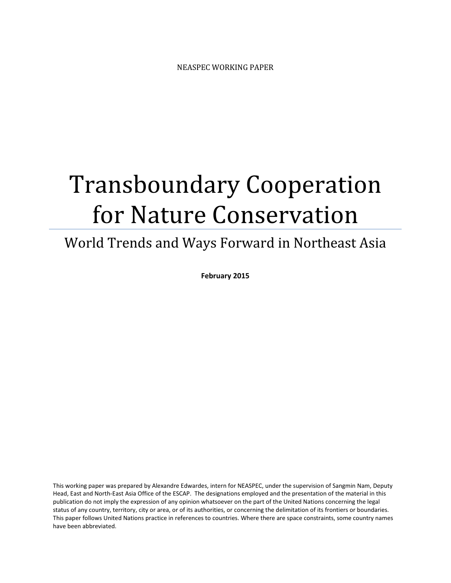# Transboundary Cooperation for Nature Conservation

## World Trends and Ways Forward in Northeast Asia

February 2015

This working paper was prepared by Alexandre Edwardes, intern for NEASPEC, under the supervision of Sangmin Nam, Deputy Head, East and North-East Asia Office of the ESCAP. The designations employed and the presentation of the material in this publication do not imply the expression of any opinion whatsoever on the part of the United Nations concerning the legal status of any country, territory, city or area, or of its authorities, or concerning the delimitation of its frontiers or boundaries. This paper follows United Nations practice in references to countries. Where there are space constraints, some country names have been abbreviated.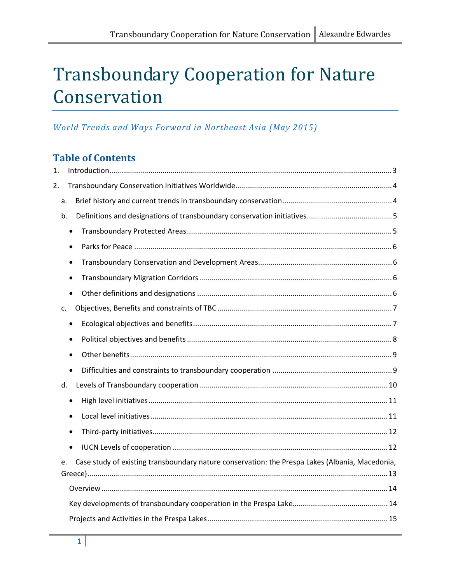## Transboundary Cooperation for Nature Conservation

## World Trends and Ways Forward in Northeast Asia (May 2015)

## Table of Contents

| 1. |           |                                                                                                 |  |
|----|-----------|-------------------------------------------------------------------------------------------------|--|
| 2. |           |                                                                                                 |  |
|    | a.        |                                                                                                 |  |
|    | b.        |                                                                                                 |  |
|    | $\bullet$ |                                                                                                 |  |
|    | $\bullet$ |                                                                                                 |  |
|    |           |                                                                                                 |  |
|    | $\bullet$ |                                                                                                 |  |
|    | $\bullet$ |                                                                                                 |  |
|    | c.        |                                                                                                 |  |
|    | $\bullet$ |                                                                                                 |  |
|    |           |                                                                                                 |  |
|    |           |                                                                                                 |  |
|    | $\bullet$ |                                                                                                 |  |
|    | d.        |                                                                                                 |  |
|    | $\bullet$ |                                                                                                 |  |
|    |           |                                                                                                 |  |
|    |           |                                                                                                 |  |
|    | $\bullet$ |                                                                                                 |  |
|    | e.        | Case study of existing transboundary nature conservation: the Prespa Lakes (Albania, Macedonia, |  |
|    |           |                                                                                                 |  |
|    |           |                                                                                                 |  |
|    |           |                                                                                                 |  |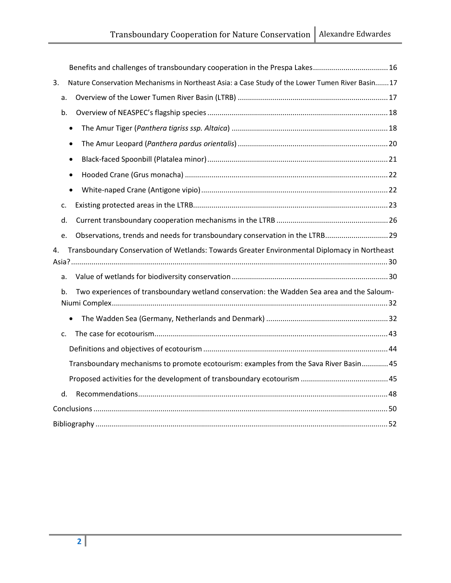|    | Benefits and challenges of transboundary cooperation in the Prespa Lakes 16                      |
|----|--------------------------------------------------------------------------------------------------|
| 3. | Nature Conservation Mechanisms in Northeast Asia: a Case Study of the Lower Tumen River Basin 17 |
| a. |                                                                                                  |
| b. |                                                                                                  |
|    | $\bullet$                                                                                        |
|    | $\bullet$                                                                                        |
|    | $\bullet$                                                                                        |
|    | $\bullet$                                                                                        |
|    | $\bullet$                                                                                        |
| c. |                                                                                                  |
| d. |                                                                                                  |
| e. | Observations, trends and needs for transboundary conservation in the LTRB 29                     |
|    |                                                                                                  |
| 4. | Transboundary Conservation of Wetlands: Towards Greater Environmental Diplomacy in Northeast     |
| a. |                                                                                                  |
| b. | Two experiences of transboundary wetland conservation: the Wadden Sea area and the Saloum-       |
|    | $\bullet$                                                                                        |
| c. |                                                                                                  |
|    |                                                                                                  |
|    | Transboundary mechanisms to promote ecotourism: examples from the Sava River Basin 45            |
|    |                                                                                                  |
| d. |                                                                                                  |
|    |                                                                                                  |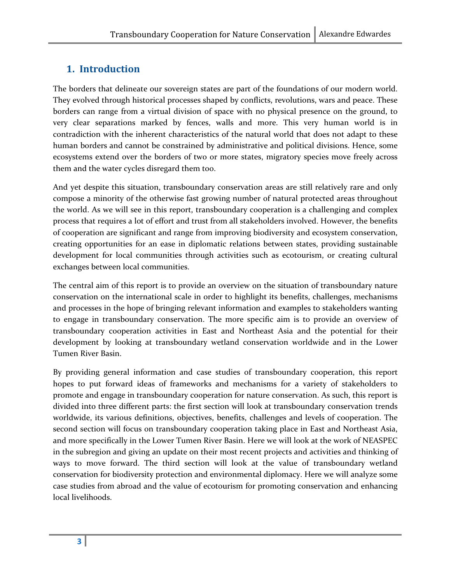## 1. Introduction

The borders that delineate our sovereign states are part of the foundations of our modern world. They evolved through historical processes shaped by conflicts, revolutions, wars and peace. These borders can range from a virtual division of space with no physical presence on the ground, to very clear separations marked by fences, walls and more. This very human world is in contradiction with the inherent characteristics of the natural world that does not adapt to these human borders and cannot be constrained by administrative and political divisions. Hence, some ecosystems extend over the borders of two or more states, migratory species move freely across them and the water cycles disregard them too.

And yet despite this situation, transboundary conservation areas are still relatively rare and only compose a minority of the otherwise fast growing number of natural protected areas throughout the world. As we will see in this report, transboundary cooperation is a challenging and complex process that requires a lot of effort and trust from all stakeholders involved. However, the benefits of cooperation are significant and range from improving biodiversity and ecosystem conservation, creating opportunities for an ease in diplomatic relations between states, providing sustainable development for local communities through activities such as ecotourism, or creating cultural exchanges between local communities.

The central aim of this report is to provide an overview on the situation of transboundary nature conservation on the international scale in order to highlight its benefits, challenges, mechanisms and processes in the hope of bringing relevant information and examples to stakeholders wanting to engage in transboundary conservation. The more specific aim is to provide an overview of transboundary cooperation activities in East and Northeast Asia and the potential for their development by looking at transboundary wetland conservation worldwide and in the Lower Tumen River Basin.

By providing general information and case studies of transboundary cooperation, this report hopes to put forward ideas of frameworks and mechanisms for a variety of stakeholders to promote and engage in transboundary cooperation for nature conservation. As such, this report is divided into three different parts: the first section will look at transboundary conservation trends worldwide, its various definitions, objectives, benefits, challenges and levels of cooperation. The second section will focus on transboundary cooperation taking place in East and Northeast Asia, and more specifically in the Lower Tumen River Basin. Here we will look at the work of NEASPEC in the subregion and giving an update on their most recent projects and activities and thinking of ways to move forward. The third section will look at the value of transboundary wetland conservation for biodiversity protection and environmental diplomacy. Here we will analyze some case studies from abroad and the value of ecotourism for promoting conservation and enhancing local livelihoods.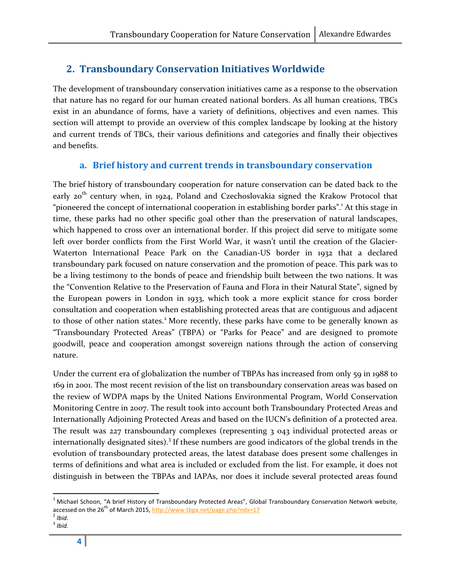## 2. Transboundary Conservation Initiatives Worldwide

The development of transboundary conservation initiatives came as a response to the observation that nature has no regard for our human created national borders. As all human creations, TBCs exist in an abundance of forms, have a variety of definitions, objectives and even names. This section will attempt to provide an overview of this complex landscape by looking at the history and current trends of TBCs, their various definitions and categories and finally their objectives and benefits.

## a. Brief history and current trends in transboundary conservation

The brief history of transboundary cooperation for nature conservation can be dated back to the early  $20^{th}$  century when, in 1924, Poland and Czechoslovakia signed the Krakow Protocol that "pioneered the concept of international cooperation in establishing border parks".<sup>1</sup> At this stage in time, these parks had no other specific goal other than the preservation of natural landscapes, which happened to cross over an international border. If this project did serve to mitigate some left over border conflicts from the First World War, it wasn't until the creation of the Glacier-Waterton International Peace Park on the Canadian-US border in 1932 that a declared transboundary park focused on nature conservation and the promotion of peace. This park was to be a living testimony to the bonds of peace and friendship built between the two nations. It was the "Convention Relative to the Preservation of Fauna and Flora in their Natural State", signed by the European powers in London in 1933, which took a more explicit stance for cross border consultation and cooperation when establishing protected areas that are contiguous and adjacent to those of other nation states.<sup>2</sup> More recently, these parks have come to be generally known as "Transboundary Protected Areas" (TBPA) or "Parks for Peace" and are designed to promote goodwill, peace and cooperation amongst sovereign nations through the action of conserving nature.

Under the current era of globalization the number of TBPAs has increased from only 59 in 1988 to 169 in 2001. The most recent revision of the list on transboundary conservation areas was based on the review of WDPA maps by the United Nations Environmental Program, World Conservation Monitoring Centre in 2007. The result took into account both Transboundary Protected Areas and Internationally Adjoining Protected Areas and based on the IUCN's definition of a protected area. The result was 227 transboundary complexes (representing 3 043 individual protected areas or internationally designated sites).<sup>3</sup> If these numbers are good indicators of the global trends in the evolution of transboundary protected areas, the latest database does present some challenges in terms of definitions and what area is included or excluded from the list. For example, it does not distinguish in between the TBPAs and IAPAs, nor does it include several protected areas found

 $^{\rm 1}$  Michael Schoon, "A brief History of Transboundary Protected Areas", Global Transboundary Conservation Network website, accessed on the 26<sup>th</sup> of March 2015, <u>http://www.tbpa.net/page.php?ndx=17</u><br><sup>2</sup> Ibid.

 $3$  Ibid.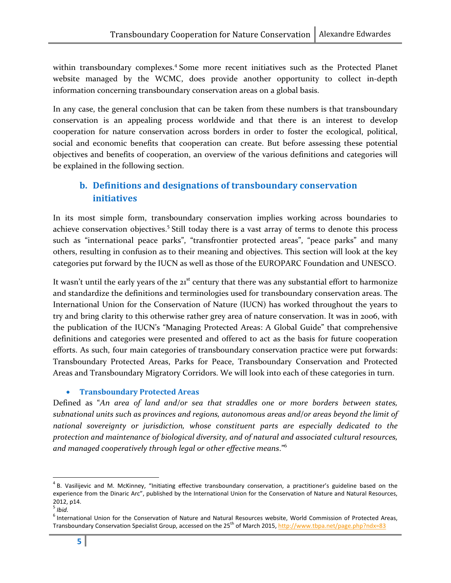within transboundary complexes.<sup>4</sup> Some more recent initiatives such as the Protected Planet website managed by the WCMC, does provide another opportunity to collect in-depth information concerning transboundary conservation areas on a global basis.

In any case, the general conclusion that can be taken from these numbers is that transboundary conservation is an appealing process worldwide and that there is an interest to develop cooperation for nature conservation across borders in order to foster the ecological, political, social and economic benefits that cooperation can create. But before assessing these potential objectives and benefits of cooperation, an overview of the various definitions and categories will be explained in the following section.

## b. Definitions and designations of transboundary conservation initiatives

In its most simple form, transboundary conservation implies working across boundaries to achieve conservation objectives.<sup>5</sup> Still today there is a vast array of terms to denote this process such as "international peace parks", "transfrontier protected areas", "peace parks" and many others, resulting in confusion as to their meaning and objectives. This section will look at the key categories put forward by the IUCN as well as those of the EUROPARC Foundation and UNESCO.

It wasn't until the early years of the  $21<sup>st</sup>$  century that there was any substantial effort to harmonize and standardize the definitions and terminologies used for transboundary conservation areas. The International Union for the Conservation of Nature (IUCN) has worked throughout the years to try and bring clarity to this otherwise rather grey area of nature conservation. It was in 2006, with the publication of the IUCN's "Managing Protected Areas: A Global Guide" that comprehensive definitions and categories were presented and offered to act as the basis for future cooperation efforts. As such, four main categories of transboundary conservation practice were put forwards: Transboundary Protected Areas, Parks for Peace, Transboundary Conservation and Protected Areas and Transboundary Migratory Corridors. We will look into each of these categories in turn.

#### • Transboundary Protected Areas

Defined as "An area of land and/or sea that straddles one or more borders between states, subnational units such as provinces and regions, autonomous areas and/or areas beyond the limit of national sovereignty or jurisdiction, whose constituent parts are especially dedicated to the protection and maintenance of biological diversity, and of natural and associated cultural resources, and managed cooperatively through legal or other effective means."<sup>6</sup>

<sup>&</sup>lt;sup>4</sup> B. Vasilijevic and M. McKinney, "Initiating effective transboundary conservation, a practitioner's guideline based on the experience from the Dinaric Arc", published by the International Union for the Conservation of Nature and Natural Resources, 2012, p14.

 $5$  Ibid.

<sup>&</sup>lt;sup>6</sup> International Union for the Conservation of Nature and Natural Resources website, World Commission of Protected Areas, Transboundary Conservation Specialist Group, accessed on the 25<sup>th</sup> of March 2015, http://www.tbpa.net/page.php?ndx=83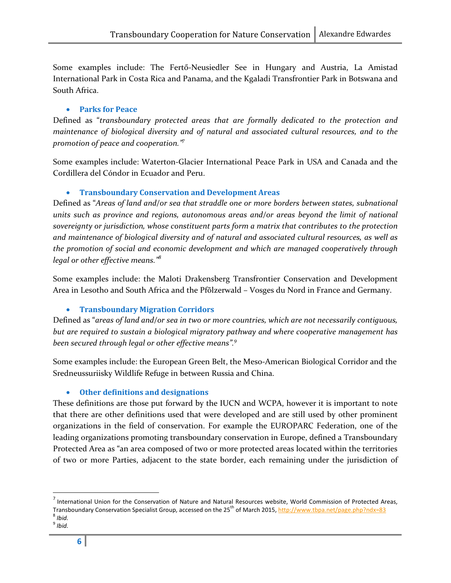Some examples include: The Fertő-Neusiedler See in Hungary and Austria, La Amistad International Park in Costa Rica and Panama, and the Kgaladi Transfrontier Park in Botswana and South Africa.

#### • Parks for Peace

Defined as "transboundary protected areas that are formally dedicated to the protection and maintenance of biological diversity and of natural and associated cultural resources, and to the promotion of peace and cooperation." $\bar{z}$ 

Some examples include: Waterton-Glacier International Peace Park in USA and Canada and the Cordillera del Cóndor in Ecuador and Peru.

#### • Transboundary Conservation and Development Areas

Defined as "Areas of land and/or sea that straddle one or more borders between states, subnational units such as province and regions, autonomous areas and/or areas beyond the limit of national sovereignty or jurisdiction, whose constituent parts form a matrix that contributes to the protection and maintenance of biological diversity and of natural and associated cultural resources, as well as the promotion of social and economic development and which are managed cooperatively through legal or other effective means."<sup>8</sup>

Some examples include: the Maloti Drakensberg Transfrontier Conservation and Development Area in Lesotho and South Africa and the Pfõlzerwald – Vosges du Nord in France and Germany.

#### • Transboundary Migration Corridors

Defined as "areas of land and/or sea in two or more countries, which are not necessarily contiguous, but are required to sustain a biological migratory pathway and where cooperative management has been secured through legal or other effective means".<sup>9</sup>

Some examples include: the European Green Belt, the Meso-American Biological Corridor and the Sredneussuriisky Wildlife Refuge in between Russia and China.

#### • Other definitions and designations

These definitions are those put forward by the IUCN and WCPA, however it is important to note that there are other definitions used that were developed and are still used by other prominent organizations in the field of conservation. For example the EUROPARC Federation, one of the leading organizations promoting transboundary conservation in Europe, defined a Transboundary Protected Area as "an area composed of two or more protected areas located within the territories of two or more Parties, adjacent to the state border, each remaining under the jurisdiction of

 $^7$  International Union for the Conservation of Nature and Natural Resources website, World Commission of Protected Areas, Transboundary Conservation Specialist Group, accessed on the 25<sup>th</sup> of March 2015, http://www.tbpa.net/page.php?ndx=83

 $8$  Ibid.

<sup>&</sup>lt;sup>9</sup> Ibid.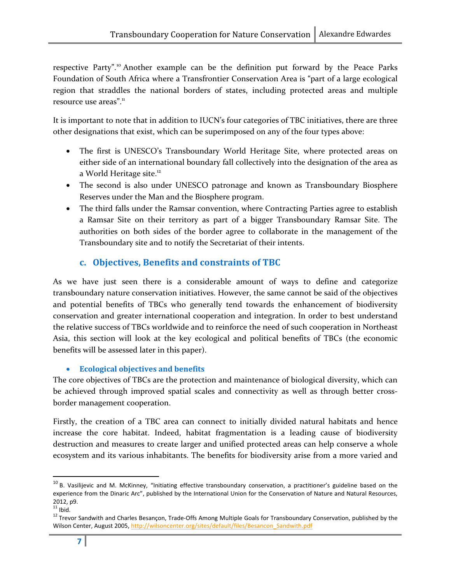respective Party".<sup>10</sup> Another example can be the definition put forward by the Peace Parks Foundation of South Africa where a Transfrontier Conservation Area is "part of a large ecological region that straddles the national borders of states, including protected areas and multiple resource use areas".<sup>11</sup>

It is important to note that in addition to IUCN's four categories of TBC initiatives, there are three other designations that exist, which can be superimposed on any of the four types above:

- The first is UNESCO's Transboundary World Heritage Site, where protected areas on either side of an international boundary fall collectively into the designation of the area as a World Heritage site.<sup>12</sup>
- The second is also under UNESCO patronage and known as Transboundary Biosphere Reserves under the Man and the Biosphere program.
- The third falls under the Ramsar convention, where Contracting Parties agree to establish a Ramsar Site on their territory as part of a bigger Transboundary Ramsar Site. The authorities on both sides of the border agree to collaborate in the management of the Transboundary site and to notify the Secretariat of their intents.

## c. Objectives, Benefits and constraints of TBC

As we have just seen there is a considerable amount of ways to define and categorize transboundary nature conservation initiatives. However, the same cannot be said of the objectives and potential benefits of TBCs who generally tend towards the enhancement of biodiversity conservation and greater international cooperation and integration. In order to best understand the relative success of TBCs worldwide and to reinforce the need of such cooperation in Northeast Asia, this section will look at the key ecological and political benefits of TBCs (the economic benefits will be assessed later in this paper).

#### • Ecological objectives and benefits

The core objectives of TBCs are the protection and maintenance of biological diversity, which can be achieved through improved spatial scales and connectivity as well as through better crossborder management cooperation.

Firstly, the creation of a TBC area can connect to initially divided natural habitats and hence increase the core habitat. Indeed, habitat fragmentation is a leading cause of biodiversity destruction and measures to create larger and unified protected areas can help conserve a whole ecosystem and its various inhabitants. The benefits for biodiversity arise from a more varied and

 $10$  B. Vasilijevic and M. McKinney, "Initiating effective transboundary conservation, a practitioner's guideline based on the experience from the Dinaric Arc", published by the International Union for the Conservation of Nature and Natural Resources, 2012, p9.

 $11$  Ibid.

<sup>&</sup>lt;sup>12</sup> Trevor Sandwith and Charles Besançon, Trade-Offs Among Multiple Goals for Transboundary Conservation, published by the Wilson Center, August 2005, http://wilsoncenter.org/sites/default/files/Besancon\_Sandwith.pdf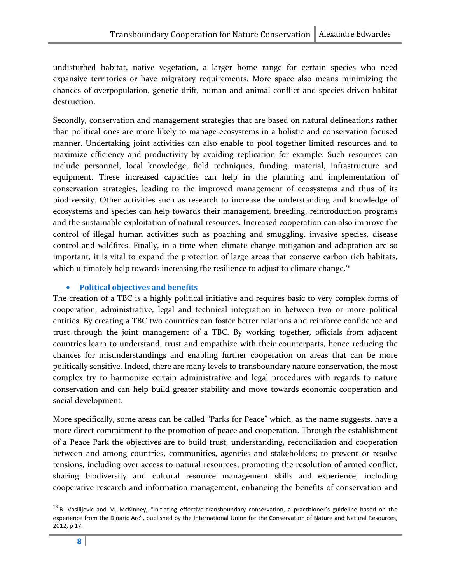undisturbed habitat, native vegetation, a larger home range for certain species who need expansive territories or have migratory requirements. More space also means minimizing the chances of overpopulation, genetic drift, human and animal conflict and species driven habitat destruction.

Secondly, conservation and management strategies that are based on natural delineations rather than political ones are more likely to manage ecosystems in a holistic and conservation focused manner. Undertaking joint activities can also enable to pool together limited resources and to maximize efficiency and productivity by avoiding replication for example. Such resources can include personnel, local knowledge, field techniques, funding, material, infrastructure and equipment. These increased capacities can help in the planning and implementation of conservation strategies, leading to the improved management of ecosystems and thus of its biodiversity. Other activities such as research to increase the understanding and knowledge of ecosystems and species can help towards their management, breeding, reintroduction programs and the sustainable exploitation of natural resources. Increased cooperation can also improve the control of illegal human activities such as poaching and smuggling, invasive species, disease control and wildfires. Finally, in a time when climate change mitigation and adaptation are so important, it is vital to expand the protection of large areas that conserve carbon rich habitats, which ultimately help towards increasing the resilience to adjust to climate change.<sup>13</sup>

#### • Political objectives and benefits

The creation of a TBC is a highly political initiative and requires basic to very complex forms of cooperation, administrative, legal and technical integration in between two or more political entities. By creating a TBC two countries can foster better relations and reinforce confidence and trust through the joint management of a TBC. By working together, officials from adjacent countries learn to understand, trust and empathize with their counterparts, hence reducing the chances for misunderstandings and enabling further cooperation on areas that can be more politically sensitive. Indeed, there are many levels to transboundary nature conservation, the most complex try to harmonize certain administrative and legal procedures with regards to nature conservation and can help build greater stability and move towards economic cooperation and social development.

More specifically, some areas can be called "Parks for Peace" which, as the name suggests, have a more direct commitment to the promotion of peace and cooperation. Through the establishment of a Peace Park the objectives are to build trust, understanding, reconciliation and cooperation between and among countries, communities, agencies and stakeholders; to prevent or resolve tensions, including over access to natural resources; promoting the resolution of armed conflict, sharing biodiversity and cultural resource management skills and experience, including cooperative research and information management, enhancing the benefits of conservation and

<sup>&</sup>lt;sup>13</sup> B. Vasilijevic and M. McKinney, "Initiating effective transboundary conservation, a practitioner's guideline based on the experience from the Dinaric Arc", published by the International Union for the Conservation of Nature and Natural Resources, 2012, p 17.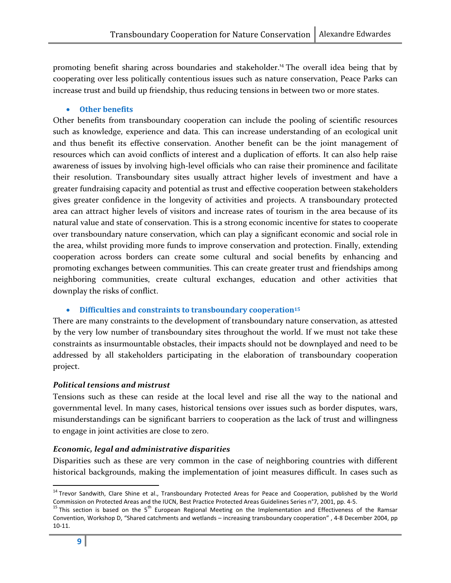promoting benefit sharing across boundaries and stakeholder.<sup>14</sup> The overall idea being that by cooperating over less politically contentious issues such as nature conservation, Peace Parks can increase trust and build up friendship, thus reducing tensions in between two or more states.

#### • Other benefits

Other benefits from transboundary cooperation can include the pooling of scientific resources such as knowledge, experience and data. This can increase understanding of an ecological unit and thus benefit its effective conservation. Another benefit can be the joint management of resources which can avoid conflicts of interest and a duplication of efforts. It can also help raise awareness of issues by involving high-level officials who can raise their prominence and facilitate their resolution. Transboundary sites usually attract higher levels of investment and have a greater fundraising capacity and potential as trust and effective cooperation between stakeholders gives greater confidence in the longevity of activities and projects. A transboundary protected area can attract higher levels of visitors and increase rates of tourism in the area because of its natural value and state of conservation. This is a strong economic incentive for states to cooperate over transboundary nature conservation, which can play a significant economic and social role in the area, whilst providing more funds to improve conservation and protection. Finally, extending cooperation across borders can create some cultural and social benefits by enhancing and promoting exchanges between communities. This can create greater trust and friendships among neighboring communities, create cultural exchanges, education and other activities that downplay the risks of conflict.

#### • Difficulties and constraints to transboundary cooperation<sup>15</sup>

There are many constraints to the development of transboundary nature conservation, as attested by the very low number of transboundary sites throughout the world. If we must not take these constraints as insurmountable obstacles, their impacts should not be downplayed and need to be addressed by all stakeholders participating in the elaboration of transboundary cooperation project.

#### Political tensions and mistrust

Tensions such as these can reside at the local level and rise all the way to the national and governmental level. In many cases, historical tensions over issues such as border disputes, wars, misunderstandings can be significant barriers to cooperation as the lack of trust and willingness to engage in joint activities are close to zero.

#### Economic, legal and administrative disparities

Disparities such as these are very common in the case of neighboring countries with different historical backgrounds, making the implementation of joint measures difficult. In cases such as

<sup>&</sup>lt;sup>14</sup> Trevor Sandwith, Clare Shine et al., Transboundary Protected Areas for Peace and Cooperation, published by the World Commission on Protected Areas and the IUCN, Best Practice Protected Areas Guidelines Series n°7, 2001, pp. 4-5.<br><sup>15</sup> This section is based on the 5<sup>th</sup> European Regional Meeting on the Implementation and Effectiveness of t

Convention, Workshop D, "Shared catchments and wetlands – increasing transboundary cooperation" , 4-8 December 2004, pp 10-11.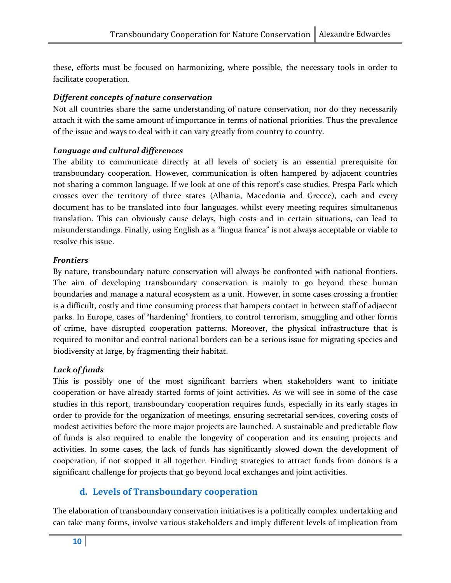these, efforts must be focused on harmonizing, where possible, the necessary tools in order to facilitate cooperation.

#### Different concepts of nature conservation

Not all countries share the same understanding of nature conservation, nor do they necessarily attach it with the same amount of importance in terms of national priorities. Thus the prevalence of the issue and ways to deal with it can vary greatly from country to country.

#### Language and cultural differences

The ability to communicate directly at all levels of society is an essential prerequisite for transboundary cooperation. However, communication is often hampered by adjacent countries not sharing a common language. If we look at one of this report's case studies, Prespa Park which crosses over the territory of three states (Albania, Macedonia and Greece), each and every document has to be translated into four languages, whilst every meeting requires simultaneous translation. This can obviously cause delays, high costs and in certain situations, can lead to misunderstandings. Finally, using English as a "lingua franca" is not always acceptable or viable to resolve this issue.

#### Frontiers

By nature, transboundary nature conservation will always be confronted with national frontiers. The aim of developing transboundary conservation is mainly to go beyond these human boundaries and manage a natural ecosystem as a unit. However, in some cases crossing a frontier is a difficult, costly and time consuming process that hampers contact in between staff of adjacent parks. In Europe, cases of "hardening" frontiers, to control terrorism, smuggling and other forms of crime, have disrupted cooperation patterns. Moreover, the physical infrastructure that is required to monitor and control national borders can be a serious issue for migrating species and biodiversity at large, by fragmenting their habitat.

#### Lack of funds

This is possibly one of the most significant barriers when stakeholders want to initiate cooperation or have already started forms of joint activities. As we will see in some of the case studies in this report, transboundary cooperation requires funds, especially in its early stages in order to provide for the organization of meetings, ensuring secretarial services, covering costs of modest activities before the more major projects are launched. A sustainable and predictable flow of funds is also required to enable the longevity of cooperation and its ensuing projects and activities. In some cases, the lack of funds has significantly slowed down the development of cooperation, if not stopped it all together. Finding strategies to attract funds from donors is a significant challenge for projects that go beyond local exchanges and joint activities.

#### d. Levels of Transboundary cooperation

The elaboration of transboundary conservation initiatives is a politically complex undertaking and can take many forms, involve various stakeholders and imply different levels of implication from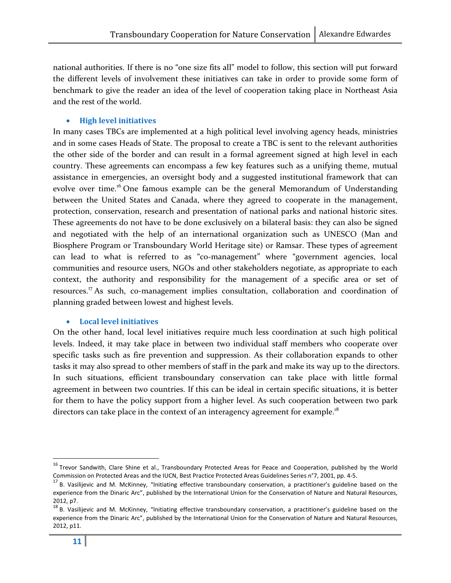national authorities. If there is no "one size fits all" model to follow, this section will put forward the different levels of involvement these initiatives can take in order to provide some form of benchmark to give the reader an idea of the level of cooperation taking place in Northeast Asia and the rest of the world.

#### • High level initiatives

In many cases TBCs are implemented at a high political level involving agency heads, ministries and in some cases Heads of State. The proposal to create a TBC is sent to the relevant authorities the other side of the border and can result in a formal agreement signed at high level in each country. These agreements can encompass a few key features such as a unifying theme, mutual assistance in emergencies, an oversight body and a suggested institutional framework that can evolve over time.<sup>16</sup> One famous example can be the general Memorandum of Understanding between the United States and Canada, where they agreed to cooperate in the management, protection, conservation, research and presentation of national parks and national historic sites. These agreements do not have to be done exclusively on a bilateral basis: they can also be signed and negotiated with the help of an international organization such as UNESCO (Man and Biosphere Program or Transboundary World Heritage site) or Ramsar. These types of agreement can lead to what is referred to as "co-management" where "government agencies, local communities and resource users, NGOs and other stakeholders negotiate, as appropriate to each context, the authority and responsibility for the management of a specific area or set of resources.<sup>17</sup> As such, co-management implies consultation, collaboration and coordination of planning graded between lowest and highest levels.

#### • Local level initiatives

On the other hand, local level initiatives require much less coordination at such high political levels. Indeed, it may take place in between two individual staff members who cooperate over specific tasks such as fire prevention and suppression. As their collaboration expands to other tasks it may also spread to other members of staff in the park and make its way up to the directors. In such situations, efficient transboundary conservation can take place with little formal agreement in between two countries. If this can be ideal in certain specific situations, it is better for them to have the policy support from a higher level. As such cooperation between two park directors can take place in the context of an interagency agreement for example.<sup>18</sup>

<sup>&</sup>lt;sup>16</sup> Trevor Sandwith, Clare Shine et al., Transboundary Protected Areas for Peace and Cooperation, published by the World Commission on Protected Areas and the IUCN, Best Practice Protected Areas Guidelines Series n°7, 2001, pp. 4-5.

<sup>&</sup>lt;sup>17</sup> B. Vasiliievic and M. McKinney, "Initiating effective transboundary conservation, a practitioner's guideline based on the experience from the Dinaric Arc", published by the International Union for the Conservation of Nature and Natural Resources, 2012, p7.

 $18$  B. Vasilijevic and M. McKinney, "Initiating effective transboundary conservation, a practitioner's guideline based on the experience from the Dinaric Arc", published by the International Union for the Conservation of Nature and Natural Resources, 2012, p11.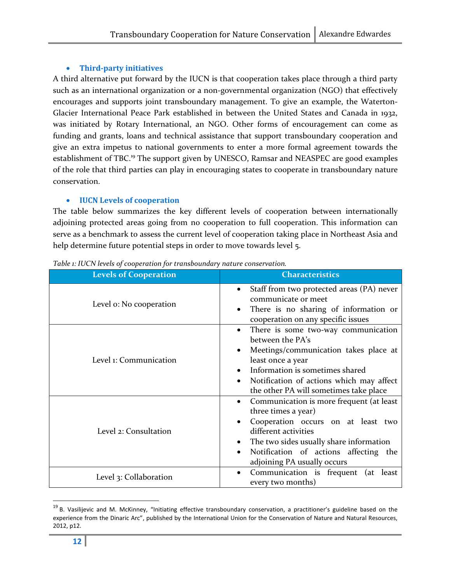#### • Third-party initiatives

A third alternative put forward by the IUCN is that cooperation takes place through a third party such as an international organization or a non-governmental organization (NGO) that effectively encourages and supports joint transboundary management. To give an example, the Waterton-Glacier International Peace Park established in between the United States and Canada in 1932, was initiated by Rotary International, an NGO. Other forms of encouragement can come as funding and grants, loans and technical assistance that support transboundary cooperation and give an extra impetus to national governments to enter a more formal agreement towards the establishment of TBC.<sup>19</sup> The support given by UNESCO, Ramsar and NEASPEC are good examples of the role that third parties can play in encouraging states to cooperate in transboundary nature conservation.

#### • IUCN Levels of cooperation

The table below summarizes the key different levels of cooperation between internationally adjoining protected areas going from no cooperation to full cooperation. This information can serve as a benchmark to assess the current level of cooperation taking place in Northeast Asia and help determine future potential steps in order to move towards level 5.

| <b>Levels of Cooperation</b> | <b>Characteristics</b>                                                                                                                                                                                                                           |  |
|------------------------------|--------------------------------------------------------------------------------------------------------------------------------------------------------------------------------------------------------------------------------------------------|--|
| Level o: No cooperation      | Staff from two protected areas (PA) never<br>communicate or meet<br>There is no sharing of information or<br>cooperation on any specific issues                                                                                                  |  |
| Level 1: Communication       | There is some two-way communication<br>between the PA's<br>Meetings/communication takes place at<br>least once a year<br>Information is sometimes shared<br>Notification of actions which may affect<br>the other PA will sometimes take place   |  |
| Level 2: Consultation        | Communication is more frequent (at least<br>three times a year)<br>Cooperation occurs on at least two<br>different activities<br>The two sides usually share information<br>Notification of actions affecting the<br>adjoining PA usually occurs |  |
| Level 3: Collaboration       | Communication is frequent (at least<br>٠<br>every two months)                                                                                                                                                                                    |  |

Table 1: IUCN levels of cooperation for transboundary nature conservation.

<sup>&</sup>lt;sup>19</sup> B. Vasilijevic and M. McKinney, "Initiating effective transboundary conservation, a practitioner's guideline based on the experience from the Dinaric Arc", published by the International Union for the Conservation of Nature and Natural Resources, 2012, p12.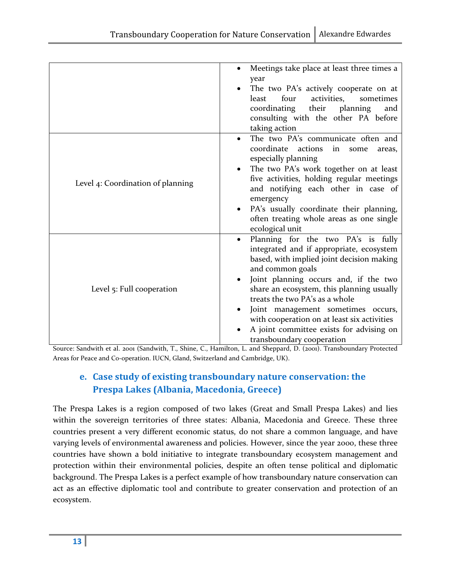|                                   | Meetings take place at least three times a<br>year<br>The two PA's actively cooperate on at<br>four<br>activities,<br>least<br>sometimes<br>coordinating their<br>planning<br>and<br>consulting with the other PA before<br>taking action                                                                                                                                                                                                  |
|-----------------------------------|--------------------------------------------------------------------------------------------------------------------------------------------------------------------------------------------------------------------------------------------------------------------------------------------------------------------------------------------------------------------------------------------------------------------------------------------|
| Level 4: Coordination of planning | The two PA's communicate often and<br>$\bullet$<br>coordinate<br>actions<br>in<br>some<br>areas,<br>especially planning<br>The two PA's work together on at least<br>five activities, holding regular meetings<br>and notifying each other in case of<br>emergency<br>PA's usually coordinate their planning,<br>often treating whole areas as one single<br>ecological unit                                                               |
| Level 5: Full cooperation         | Planning for the two PA's is fully<br>٠<br>integrated and if appropriate, ecosystem<br>based, with implied joint decision making<br>and common goals<br>Joint planning occurs and, if the two<br>share an ecosystem, this planning usually<br>treats the two PA's as a whole<br>Joint management sometimes occurs,<br>with cooperation on at least six activities<br>A joint committee exists for advising on<br>transboundary cooperation |

Source: Sandwith et al. 2001 (Sandwith, T., Shine, C., Hamilton, L. and Sheppard, D. (2001). Transboundary Protected Areas for Peace and Co-operation. IUCN, Gland, Switzerland and Cambridge, UK).

## e. Case study of existing transboundary nature conservation: the Prespa Lakes (Albania, Macedonia, Greece)

The Prespa Lakes is a region composed of two lakes (Great and Small Prespa Lakes) and lies within the sovereign territories of three states: Albania, Macedonia and Greece. These three countries present a very different economic status, do not share a common language, and have varying levels of environmental awareness and policies. However, since the year 2000, these three countries have shown a bold initiative to integrate transboundary ecosystem management and protection within their environmental policies, despite an often tense political and diplomatic background. The Prespa Lakes is a perfect example of how transboundary nature conservation can act as an effective diplomatic tool and contribute to greater conservation and protection of an ecosystem.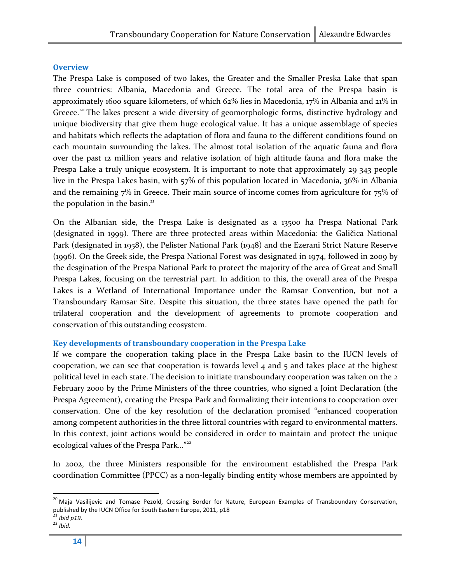#### **Overview**

The Prespa Lake is composed of two lakes, the Greater and the Smaller Preska Lake that span three countries: Albania, Macedonia and Greece. The total area of the Prespa basin is approximately 1600 square kilometers, of which 62% lies in Macedonia, 17% in Albania and 21% in Greece.<sup>20</sup> The lakes present a wide diversity of geomorphologic forms, distinctive hydrology and unique biodiversity that give them huge ecological value. It has a unique assemblage of species and habitats which reflects the adaptation of flora and fauna to the different conditions found on each mountain surrounding the lakes. The almost total isolation of the aquatic fauna and flora over the past 12 million years and relative isolation of high altitude fauna and flora make the Prespa Lake a truly unique ecosystem. It is important to note that approximately 29 343 people live in the Prespa Lakes basin, with 57% of this population located in Macedonia, 36% in Albania and the remaining 7% in Greece. Their main source of income comes from agriculture for 75% of the population in the basin. $21$ 

On the Albanian side, the Prespa Lake is designated as a 13500 ha Prespa National Park (designated in 1999). There are three protected areas within Macedonia: the Galičica National Park (designated in 1958), the Pelister National Park (1948) and the Ezerani Strict Nature Reserve (1996). On the Greek side, the Prespa National Forest was designated in 1974, followed in 2009 by the desgination of the Prespa National Park to protect the majority of the area of Great and Small Prespa Lakes, focusing on the terrestrial part. In addition to this, the overall area of the Prespa Lakes is a Wetland of International Importance under the Ramsar Convention, but not a Transboundary Ramsar Site. Despite this situation, the three states have opened the path for trilateral cooperation and the development of agreements to promote cooperation and conservation of this outstanding ecosystem.

#### Key developments of transboundary cooperation in the Prespa Lake

If we compare the cooperation taking place in the Prespa Lake basin to the IUCN levels of cooperation, we can see that cooperation is towards level 4 and 5 and takes place at the highest political level in each state. The decision to initiate transboundary cooperation was taken on the 2 February 2000 by the Prime Ministers of the three countries, who signed a Joint Declaration (the Prespa Agreement), creating the Prespa Park and formalizing their intentions to cooperation over conservation. One of the key resolution of the declaration promised "enhanced cooperation among competent authorities in the three littoral countries with regard to environmental matters. In this context, joint actions would be considered in order to maintain and protect the unique ecological values of the Prespa Park..."<sup>22</sup>

In 2002, the three Ministers responsible for the environment established the Prespa Park coordination Committee (PPCC) as a non-legally binding entity whose members are appointed by

 $\overline{a}$ 

<sup>&</sup>lt;sup>20</sup> Maja Vasilijevic and Tomase Pezold, Crossing Border for Nature, European Examples of Transboundary Conservation, published by the IUCN Office for South Eastern Europe, 2011, p18<br><sup>21</sup> Ibid p19.

 $22$  Ibid.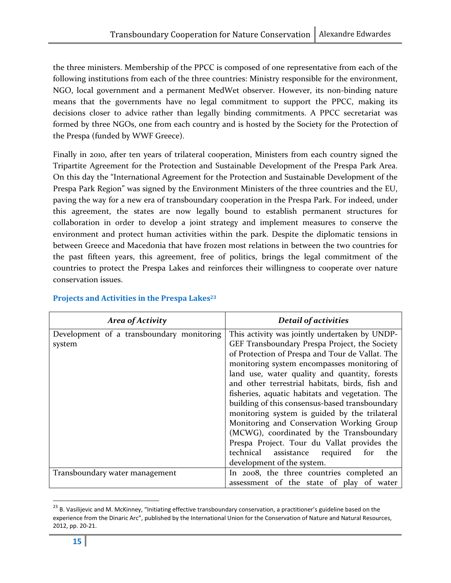the three ministers. Membership of the PPCC is composed of one representative from each of the following institutions from each of the three countries: Ministry responsible for the environment, NGO, local government and a permanent MedWet observer. However, its non-binding nature means that the governments have no legal commitment to support the PPCC, making its decisions closer to advice rather than legally binding commitments. A PPCC secretariat was formed by three NGOs, one from each country and is hosted by the Society for the Protection of the Prespa (funded by WWF Greece).

Finally in 2010, after ten years of trilateral cooperation, Ministers from each country signed the Tripartite Agreement for the Protection and Sustainable Development of the Prespa Park Area. On this day the "International Agreement for the Protection and Sustainable Development of the Prespa Park Region" was signed by the Environment Ministers of the three countries and the EU, paving the way for a new era of transboundary cooperation in the Prespa Park. For indeed, under this agreement, the states are now legally bound to establish permanent structures for collaboration in order to develop a joint strategy and implement measures to conserve the environment and protect human activities within the park. Despite the diplomatic tensions in between Greece and Macedonia that have frozen most relations in between the two countries for the past fifteen years, this agreement, free of politics, brings the legal commitment of the countries to protect the Prespa Lakes and reinforces their willingness to cooperate over nature conservation issues.

| Area of Activity                                    | <b>Detail of activities</b>                                                                                                                                                                                                                                                                                                                                                                                                                                                                                                                                                                                                                                                     |
|-----------------------------------------------------|---------------------------------------------------------------------------------------------------------------------------------------------------------------------------------------------------------------------------------------------------------------------------------------------------------------------------------------------------------------------------------------------------------------------------------------------------------------------------------------------------------------------------------------------------------------------------------------------------------------------------------------------------------------------------------|
| Development of a transboundary monitoring<br>system | This activity was jointly undertaken by UNDP-<br>GEF Transboundary Prespa Project, the Society<br>of Protection of Prespa and Tour de Vallat. The<br>monitoring system encompasses monitoring of<br>land use, water quality and quantity, forests<br>and other terrestrial habitats, birds, fish and<br>fisheries, aquatic habitats and vegetation. The<br>building of this consensus-based transboundary<br>monitoring system is guided by the trilateral<br>Monitoring and Conservation Working Group<br>(MCWG), coordinated by the Transboundary<br>Prespa Project. Tour du Vallat provides the<br>assistance required for<br>technical<br>the<br>development of the system. |
| Transboundary water management                      | In 2008, the three countries completed an<br>assessment of the state of play of water                                                                                                                                                                                                                                                                                                                                                                                                                                                                                                                                                                                           |

#### Projects and Activities in the Prespa Lakes<sup>23</sup>

<sup>&</sup>lt;sup>23</sup> B. Vasilijevic and M. McKinney, "Initiating effective transboundary conservation, a practitioner's guideline based on the experience from the Dinaric Arc", published by the International Union for the Conservation of Nature and Natural Resources, 2012, pp. 20-21.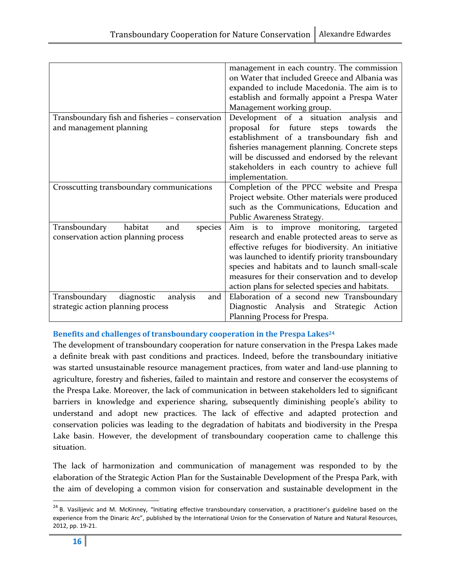|                                                 | management in each country. The commission        |  |
|-------------------------------------------------|---------------------------------------------------|--|
|                                                 | on Water that included Greece and Albania was     |  |
|                                                 | expanded to include Macedonia. The aim is to      |  |
|                                                 | establish and formally appoint a Prespa Water     |  |
|                                                 | Management working group.                         |  |
| Transboundary fish and fisheries - conservation | Development of a situation analysis<br>and        |  |
| and management planning                         | proposal for future<br>steps<br>towards<br>the    |  |
|                                                 | establishment of a transboundary fish and         |  |
|                                                 | fisheries management planning. Concrete steps     |  |
|                                                 | will be discussed and endorsed by the relevant    |  |
|                                                 | stakeholders in each country to achieve full      |  |
|                                                 | implementation.                                   |  |
| Crosscutting transboundary communications       | Completion of the PPCC website and Prespa         |  |
|                                                 | Project website. Other materials were produced    |  |
|                                                 |                                                   |  |
|                                                 | such as the Communications, Education and         |  |
|                                                 | Public Awareness Strategy.                        |  |
| habitat<br>Transboundary<br>species<br>and      | Aim is to improve monitoring, targeted            |  |
| conservation action planning process            | research and enable protected areas to serve as   |  |
|                                                 | effective refuges for biodiversity. An initiative |  |
|                                                 | was launched to identify priority transboundary   |  |
|                                                 | species and habitats and to launch small-scale    |  |
|                                                 | measures for their conservation and to develop    |  |
|                                                 | action plans for selected species and habitats.   |  |
| Transboundary<br>diagnostic<br>analysis<br>and  | Elaboration of a second new Transboundary         |  |
| strategic action planning process               | Diagnostic Analysis and Strategic Action          |  |
|                                                 | Planning Process for Prespa.                      |  |

#### Benefits and challenges of transboundary cooperation in the Prespa Lakes<sup>24</sup>

The development of transboundary cooperation for nature conservation in the Prespa Lakes made a definite break with past conditions and practices. Indeed, before the transboundary initiative was started unsustainable resource management practices, from water and land-use planning to agriculture, forestry and fisheries, failed to maintain and restore and conserver the ecosystems of the Prespa Lake. Moreover, the lack of communication in between stakeholders led to significant barriers in knowledge and experience sharing, subsequently diminishing people's ability to understand and adopt new practices. The lack of effective and adapted protection and conservation policies was leading to the degradation of habitats and biodiversity in the Prespa Lake basin. However, the development of transboundary cooperation came to challenge this situation.

The lack of harmonization and communication of management was responded to by the elaboration of the Strategic Action Plan for the Sustainable Development of the Prespa Park, with the aim of developing a common vision for conservation and sustainable development in the

<sup>&</sup>lt;sup>24</sup> B. Vasilijevic and M. McKinney, "Initiating effective transboundary conservation, a practitioner's guideline based on the experience from the Dinaric Arc", published by the International Union for the Conservation of Nature and Natural Resources, 2012, pp. 19-21.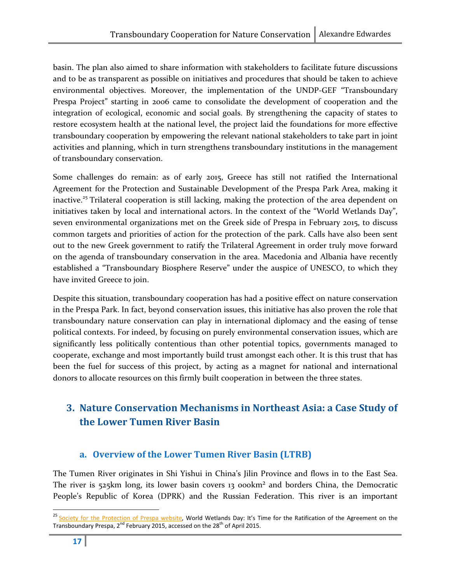basin. The plan also aimed to share information with stakeholders to facilitate future discussions and to be as transparent as possible on initiatives and procedures that should be taken to achieve environmental objectives. Moreover, the implementation of the UNDP-GEF "Transboundary Prespa Project" starting in 2006 came to consolidate the development of cooperation and the integration of ecological, economic and social goals. By strengthening the capacity of states to restore ecosystem health at the national level, the project laid the foundations for more effective transboundary cooperation by empowering the relevant national stakeholders to take part in joint activities and planning, which in turn strengthens transboundary institutions in the management of transboundary conservation.

Some challenges do remain: as of early 2015, Greece has still not ratified the International Agreement for the Protection and Sustainable Development of the Prespa Park Area, making it inactive.<sup>25</sup> Trilateral cooperation is still lacking, making the protection of the area dependent on initiatives taken by local and international actors. In the context of the "World Wetlands Day", seven environmental organizations met on the Greek side of Prespa in February 2015, to discuss common targets and priorities of action for the protection of the park. Calls have also been sent out to the new Greek government to ratify the Trilateral Agreement in order truly move forward on the agenda of transboundary conservation in the area. Macedonia and Albania have recently established a "Transboundary Biosphere Reserve" under the auspice of UNESCO, to which they have invited Greece to join.

Despite this situation, transboundary cooperation has had a positive effect on nature conservation in the Prespa Park. In fact, beyond conservation issues, this initiative has also proven the role that transboundary nature conservation can play in international diplomacy and the easing of tense political contexts. For indeed, by focusing on purely environmental conservation issues, which are significantly less politically contentious than other potential topics, governments managed to cooperate, exchange and most importantly build trust amongst each other. It is this trust that has been the fuel for success of this project, by acting as a magnet for national and international donors to allocate resources on this firmly built cooperation in between the three states.

## 3. Nature Conservation Mechanisms in Northeast Asia: a Case Study of the Lower Tumen River Basin

## a. Overview of the Lower Tumen River Basin (LTRB)

The Tumen River originates in Shi Yishui in China's Jilin Province and flows in to the East Sea. The river is 525km long, its lower basin covers 13 000km² and borders China, the Democratic People's Republic of Korea (DPRK) and the Russian Federation. This river is an important

<sup>&</sup>lt;sup>25</sup> Society for the Protection of Prespa website, World Wetlands Day: It's Time for the Ratification of the Agreement on the Transboundary Prespa,  $2^{nd}$  February 2015, accessed on the 28<sup>th</sup> of April 2015.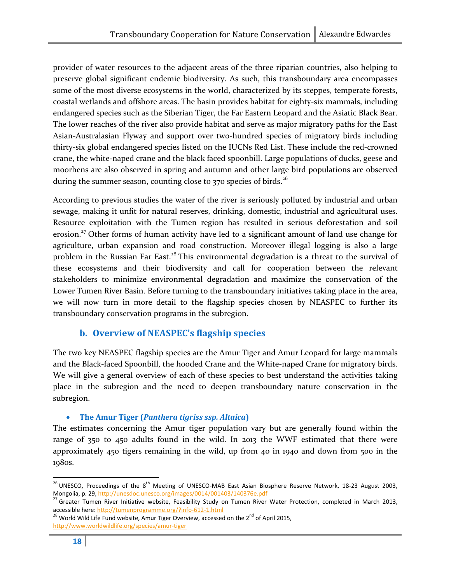provider of water resources to the adjacent areas of the three riparian countries, also helping to preserve global significant endemic biodiversity. As such, this transboundary area encompasses some of the most diverse ecosystems in the world, characterized by its steppes, temperate forests, coastal wetlands and offshore areas. The basin provides habitat for eighty-six mammals, including endangered species such as the Siberian Tiger, the Far Eastern Leopard and the Asiatic Black Bear. The lower reaches of the river also provide habitat and serve as major migratory paths for the East Asian-Australasian Flyway and support over two-hundred species of migratory birds including thirty-six global endangered species listed on the IUCNs Red List. These include the red-crowned crane, the white-naped crane and the black faced spoonbill. Large populations of ducks, geese and moorhens are also observed in spring and autumn and other large bird populations are observed during the summer season, counting close to  $370$  species of birds.<sup>26</sup>

According to previous studies the water of the river is seriously polluted by industrial and urban sewage, making it unfit for natural reserves, drinking, domestic, industrial and agricultural uses. Resource exploitation with the Tumen region has resulted in serious deforestation and soil erosion.<sup>27</sup> Other forms of human activity have led to a significant amount of land use change for agriculture, urban expansion and road construction. Moreover illegal logging is also a large problem in the Russian Far East.<sup>28</sup> This environmental degradation is a threat to the survival of these ecosystems and their biodiversity and call for cooperation between the relevant stakeholders to minimize environmental degradation and maximize the conservation of the Lower Tumen River Basin. Before turning to the transboundary initiatives taking place in the area, we will now turn in more detail to the flagship species chosen by NEASPEC to further its transboundary conservation programs in the subregion.

## b. Overview of NEASPEC's flagship species

The two key NEASPEC flagship species are the Amur Tiger and Amur Leopard for large mammals and the Black-faced Spoonbill, the hooded Crane and the White-naped Crane for migratory birds. We will give a general overview of each of these species to best understand the activities taking place in the subregion and the need to deepen transboundary nature conservation in the subregion.

#### • The Amur Tiger (Panthera tigriss ssp. Altaica)

The estimates concerning the Amur tiger population vary but are generally found within the range of 350 to 450 adults found in the wild. In 2013 the WWF estimated that there were approximately 450 tigers remaining in the wild, up from 40 in 1940 and down from 500 in the 1980s.

 $^{26}$  UNESCO, Proceedings of the  $8^{th}$  Meeting of UNESCO-MAB East Asian Biosphere Reserve Network, 18-23 August 2003, Mongolia, p. 29, http://unesdoc.unesco.org/images/0014/001403/140376e.pdf

<sup>27</sup> Greater Tumen River Initiative website, Feasibility Study on Tumen River Water Protection, completed in March 2013, accessible here: <u>http://tumenprogramme.org/?info-612-1.html</u><br><sup>28</sup> World Wild Life Fund website, Amur Tiger Overview, accessed on the 2<sup>nd</sup> of April 2015,

http://www.worldwildlife.org/species/amur-tiger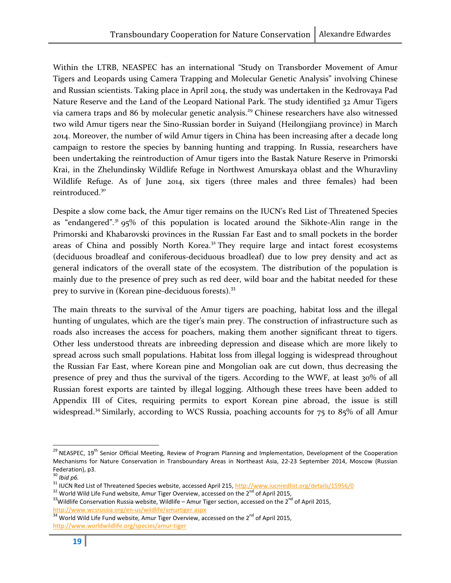Within the LTRB, NEASPEC has an international "Study on Transborder Movement of Amur Tigers and Leopards using Camera Trapping and Molecular Genetic Analysis" involving Chinese and Russian scientists. Taking place in April 2014, the study was undertaken in the Kedrovaya Pad Nature Reserve and the Land of the Leopard National Park. The study identified 32 Amur Tigers via camera traps and 86 by molecular genetic analysis.<sup>29</sup> Chinese researchers have also witnessed two wild Amur tigers near the Sino-Russian border in Suiyand (Heilongjiang province) in March 2014. Moreover, the number of wild Amur tigers in China has been increasing after a decade long campaign to restore the species by banning hunting and trapping. In Russia, researchers have been undertaking the reintroduction of Amur tigers into the Bastak Nature Reserve in Primorski Krai, in the Zhelundinsky Wildlife Refuge in Northwest Amurskaya oblast and the Whuravliny Wildlife Refuge. As of June 2014, six tigers (three males and three females) had been reintroduced.<sup>30</sup>

Despite a slow come back, the Amur tiger remains on the IUCN's Red List of Threatened Species as "endangered".<sup>31</sup> 95% of this population is located around the Sikhote-Alin range in the Primorski and Khabarovski provinces in the Russian Far East and to small pockets in the border areas of China and possibly North Korea. $32$  They require large and intact forest ecosystems (deciduous broadleaf and coniferous-deciduous broadleaf) due to low prey density and act as general indicators of the overall state of the ecosystem. The distribution of the population is mainly due to the presence of prey such as red deer, wild boar and the habitat needed for these prey to survive in (Korean pine-deciduous forests).<sup>33</sup>

The main threats to the survival of the Amur tigers are poaching, habitat loss and the illegal hunting of ungulates, which are the tiger's main prey. The construction of infrastructure such as roads also increases the access for poachers, making them another significant threat to tigers. Other less understood threats are inbreeding depression and disease which are more likely to spread across such small populations. Habitat loss from illegal logging is widespread throughout the Russian Far East, where Korean pine and Mongolian oak are cut down, thus decreasing the presence of prey and thus the survival of the tigers. According to the WWF, at least 30% of all Russian forest exports are tainted by illegal logging. Although these trees have been added to Appendix III of Cites, requiring permits to export Korean pine abroad, the issue is still widespread.<sup>34</sup> Similarly, according to WCS Russia, poaching accounts for 75 to 85% of all Amur

 $29$  NEASPEC, 19<sup>th</sup> Senior Official Meeting, Review of Program Planning and Implementation, Development of the Cooperation Mechanisms for Nature Conservation in Transboundary Areas in Northeast Asia, 22-23 September 2014, Moscow (Russian Federation), p3.

 $30$  Ibid p6.

<sup>31</sup> IUCN Red List of Threatened Species website, accessed April 215, http://www.iucnredlist.org/details/15956/0

<sup>&</sup>lt;sup>32</sup> World Wild Life Fund website, Amur Tiger Overview, accessed on the 2<sup>nd</sup> of April 2015,

 $33$ Wildlife Conservation Russia website, Wildlife – Amur Tiger section, accessed on the 2<sup>nd</sup> of April 2015, http://www.wcsrussia.org/en-us/wildlife/amurtiger.aspx

<sup>34</sup> World Wild Life Fund website, Amur Tiger Overview, accessed on the 2<sup>nd</sup> of April 2015, http://www.worldwildlife.org/species/amur-tiger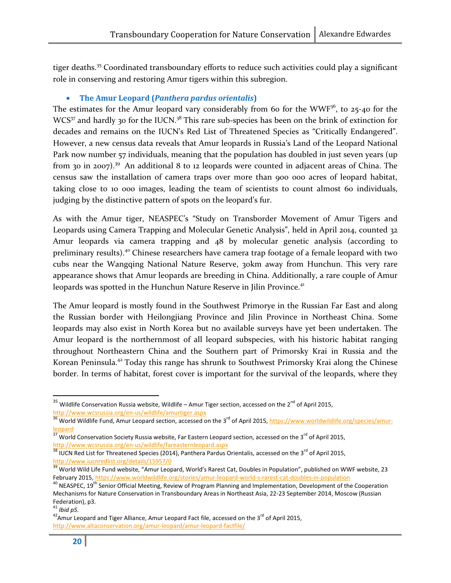tiger deaths.<sup>35</sup> Coordinated transboundary efforts to reduce such activities could play a significant role in conserving and restoring Amur tigers within this subregion.

#### • The Amur Leopard (Panthera pardus orientalis)

The estimates for the Amur leopard vary considerably from 60 for the WWF $36$ , to 25-40 for the  $WCS^{37}$  and hardly 30 for the IUCN.<sup>38</sup> This rare sub-species has been on the brink of extinction for decades and remains on the IUCN's Red List of Threatened Species as "Critically Endangered". However, a new census data reveals that Amur leopards in Russia's Land of the Leopard National Park now number 57 individuals, meaning that the population has doubled in just seven years (up from 30 in 2007).<sup>39</sup> An additional 8 to 12 leopards were counted in adjacent areas of China. The census saw the installation of camera traps over more than 900 000 acres of leopard habitat, taking close to 10 000 images, leading the team of scientists to count almost 60 individuals, judging by the distinctive pattern of spots on the leopard's fur.

As with the Amur tiger, NEASPEC's "Study on Transborder Movement of Amur Tigers and Leopards using Camera Trapping and Molecular Genetic Analysis", held in April 2014, counted 32 Amur leopards via camera trapping and 48 by molecular genetic analysis (according to preliminary results).<sup>40</sup> Chinese researchers have camera trap footage of a female leopard with two cubs near the Wangqing National Nature Reserve, 30km away from Hunchun. This very rare appearance shows that Amur leopards are breeding in China. Additionally, a rare couple of Amur leopards was spotted in the Hunchun Nature Reserve in Jilin Province.<sup>41</sup>

The Amur leopard is mostly found in the Southwest Primorye in the Russian Far East and along the Russian border with Heilongjiang Province and Jilin Province in Northeast China. Some leopards may also exist in North Korea but no available surveys have yet been undertaken. The Amur leopard is the northernmost of all leopard subspecies, with his historic habitat ranging throughout Northeastern China and the Southern part of Primorsky Krai in Russia and the Korean Peninsula.<sup>42</sup> Today this range has shrunk to Southwest Primorsky Krai along the Chinese border. In terms of habitat, forest cover is important for the survival of the leopards, where they

 $\overline{a}$ 

 $35$  Wildlife Conservation Russia website, Wildlife – Amur Tiger section, accessed on the 2<sup>nd</sup> of April 2015, http://www.wcsrussia.org/en-us/wildlife/amurtiger.aspx

<sup>36</sup> World Wildlife Fund, Amur Leopard section, accessed on the 3<sup>rd</sup> of April 2015, https://www.worldwildlife.org/species/amurleopard

 $\frac{37}{37}$  World Conservation Society Russia website, Far Eastern Leopard section, accessed on the 3<sup>rd</sup> of April 2015, http://www.wcsrussia.org/en-us/wildlife/fareasternleopard.aspx

<sup>&</sup>lt;sup>38</sup> IUCN Red List for Threatened Species (2014), Panthera Pardus Orientalis, accessed on the 3<sup>rd</sup> of April 2015, http://www.iucnredlist.org/details/15957/0

<sup>39</sup> World Wild Life Fund website, "Amur Leopard, World's Rarest Cat, Doubles in Population", published on WWF website, 23 February 2015, https://www.worldwildlife.org/stories/amur-leopard-world-s-rarest-cat-doubles-in-population

<sup>&</sup>lt;sup>40</sup> NEASPEC, 19<sup>th</sup> Senior Official Meeting, Review of Program Planning and Implementation, Development of the Cooperation Mechanisms for Nature Conservation in Transboundary Areas in Northeast Asia, 22-23 September 2014, Moscow (Russian Federation), p3.

 $41$  Ibid p5.

 $42$ Amur Leopard and Tiger Alliance, Amur Leopard Fact file, accessed on the 3<sup>rd</sup> of April 2015, http://www.altaconservation.org/amur-leopard/amur-leopard-factfile/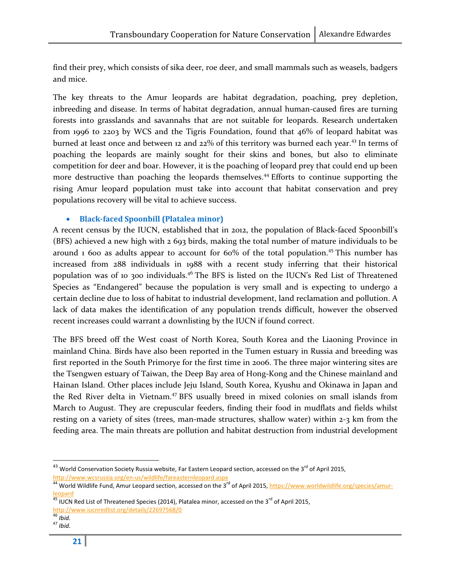find their prey, which consists of sika deer, roe deer, and small mammals such as weasels, badgers and mice.

The key threats to the Amur leopards are habitat degradation, poaching, prey depletion, inbreeding and disease. In terms of habitat degradation, annual human-caused fires are turning forests into grasslands and savannahs that are not suitable for leopards. Research undertaken from 1996 to 2203 by WCS and the Tigris Foundation, found that 46% of leopard habitat was burned at least once and between 12 and 22% of this territory was burned each year.<sup>43</sup> In terms of poaching the leopards are mainly sought for their skins and bones, but also to eliminate competition for deer and boar. However, it is the poaching of leopard prey that could end up been more destructive than poaching the leopards themselves.<sup>44</sup> Efforts to continue supporting the rising Amur leopard population must take into account that habitat conservation and prey populations recovery will be vital to achieve success.

#### • Black-faced Spoonbill (Platalea minor)

A recent census by the IUCN, established that in 2012, the population of Black-faced Spoonbill's (BFS) achieved a new high with 2 693 birds, making the total number of mature individuals to be around 1 600 as adults appear to account for  $60\%$  of the total population.<sup>45</sup> This number has increased from 288 individuals in 1988 with a recent study inferring that their historical population was of 10 300 individuals.<sup>46</sup> The BFS is listed on the IUCN's Red List of Threatened Species as "Endangered" because the population is very small and is expecting to undergo a certain decline due to loss of habitat to industrial development, land reclamation and pollution. A lack of data makes the identification of any population trends difficult, however the observed recent increases could warrant a downlisting by the IUCN if found correct.

The BFS breed off the West coast of North Korea, South Korea and the Liaoning Province in mainland China. Birds have also been reported in the Tumen estuary in Russia and breeding was first reported in the South Primorye for the first time in 2006. The three major wintering sites are the Tsengwen estuary of Taiwan, the Deep Bay area of Hong-Kong and the Chinese mainland and Hainan Island. Other places include Jeju Island, South Korea, Kyushu and Okinawa in Japan and the Red River delta in Vietnam.<sup>47</sup> BFS usually breed in mixed colonies on small islands from March to August. They are crepuscular feeders, finding their food in mudflats and fields whilst resting on a variety of sites (trees, man-made structures, shallow water) within 2-3 km from the feeding area. The main threats are pollution and habitat destruction from industrial development

<sup>&</sup>lt;sup>43</sup> World Conservation Society Russia website, Far Eastern Leopard section, accessed on the 3<sup>rd</sup> of April 2015,

<sup>&</sup>lt;u>http://www.wcsrussia.org/en-us/wildlife/fareasternleopard.aspx</u><br><sup>44</sup> World Wildlife Fund, Amur Leopard section, accessed on the 3<sup>rd</sup> of April 2015, <u>https://www.worldwildlife.org/species/amur-</u> leopard

<sup>45</sup> IUCN Red List of Threatened Species (2014), Platalea minor, accessed on the 3<sup>rd</sup> of April 2015,

http://www.iucnredlist.org/details/22697568/0

 $\frac{1}{46}$  Ibid.

 $47$  Ibid.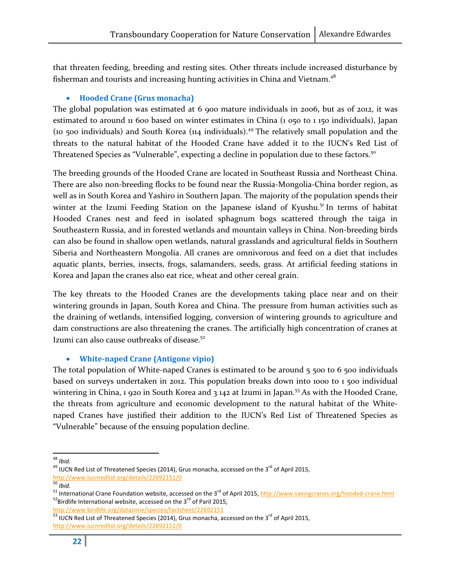that threaten feeding, breeding and resting sites. Other threats include increased disturbance by fisherman and tourists and increasing hunting activities in China and Vietnam.<sup>48</sup>

#### • Hooded Crane (Grus monacha)

The global population was estimated at 6 900 mature individuals in 2006, but as of 2012, it was estimated to around 11 600 based on winter estimates in China (1 050 to 1 150 individuals), Japan (10 500 individuals) and South Korea (114 individuals).<sup>49</sup> The relatively small population and the threats to the natural habitat of the Hooded Crane have added it to the IUCN's Red List of Threatened Species as "Vulnerable", expecting a decline in population due to these factors.<sup>50</sup>

The breeding grounds of the Hooded Crane are located in Southeast Russia and Northeast China. There are also non-breeding flocks to be found near the Russia-Mongolia-China border region, as well as in South Korea and Yashiro in Southern Japan. The majority of the population spends their winter at the Izumi Feeding Station on the Japanese island of Kyushu.<sup>51</sup> In terms of habitat Hooded Cranes nest and feed in isolated sphagnum bogs scattered through the taiga in Southeastern Russia, and in forested wetlands and mountain valleys in China. Non-breeding birds can also be found in shallow open wetlands, natural grasslands and agricultural fields in Southern Siberia and Northeastern Mongolia. All cranes are omnivorous and feed on a diet that includes aquatic plants, berries, insects, frogs, salamanders, seeds, grass. At artificial feeding stations in Korea and Japan the cranes also eat rice, wheat and other cereal grain.

The key threats to the Hooded Cranes are the developments taking place near and on their wintering grounds in Japan, South Korea and China. The pressure from human activities such as the draining of wetlands, intensified logging, conversion of wintering grounds to agriculture and dam constructions are also threatening the cranes. The artificially high concentration of cranes at Izumi can also cause outbreaks of disease.<sup>52</sup>

#### • White-naped Crane (Antigone vipio)

The total population of White-naped Cranes is estimated to be around  $5,500$  to 6 $500$  individuals based on surveys undertaken in 2012. This population breaks down into 1000 to 1 500 individual wintering in China, 1 920 in South Korea and 3 142 at Izumi in Japan.<sup>53</sup> As with the Hooded Crane, the threats from agriculture and economic development to the natural habitat of the Whitenaped Cranes have justified their addition to the IUCN's Red List of Threatened Species as "Vulnerable" because of the ensuing population decline.

<sup>-</sup> $48$  Ibid.

 $49$  IUCN Red List of Threatened Species (2014), Grus monacha, accessed on the 3<sup>rd</sup> of April 2015, <mark>http://www.iucnredlist.org/details/22692151/0</mark><br><sup>50</sup> Ibid.

<sup>&</sup>lt;sup>51</sup> International Crane Foundation website, accessed on the 3<sup>rd</sup> of April 2015, http://www.savingcranes.org/hooded-crane.html  $52$ Birdlife International website, accessed on the 3 $^{rd}$  of Paril 2015,

http://www.birdlife.org/datazone/species/factsheet/22692151

<sup>53</sup> IUCN Red List of Threatened Species (2014), Grus monacha, accessed on the 3<sup>rd</sup> of April 2015, http://www.iucnredlist.org/details/22692151/0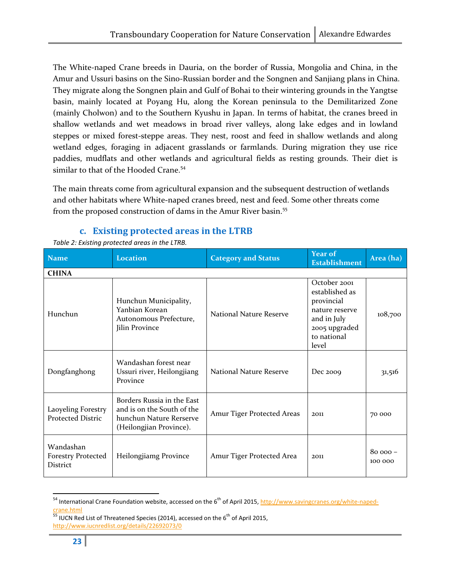The White-naped Crane breeds in Dauria, on the border of Russia, Mongolia and China, in the Amur and Ussuri basins on the Sino-Russian border and the Songnen and Sanjiang plans in China. They migrate along the Songnen plain and Gulf of Bohai to their wintering grounds in the Yangtse basin, mainly located at Poyang Hu, along the Korean peninsula to the Demilitarized Zone (mainly Cholwon) and to the Southern Kyushu in Japan. In terms of habitat, the cranes breed in shallow wetlands and wet meadows in broad river valleys, along lake edges and in lowland steppes or mixed forest-steppe areas. They nest, roost and feed in shallow wetlands and along wetland edges, foraging in adjacent grasslands or farmlands. During migration they use rice paddies, mudflats and other wetlands and agricultural fields as resting grounds. Their diet is similar to that of the Hooded Crane.<sup>54</sup>

The main threats come from agricultural expansion and the subsequent destruction of wetlands and other habitats where White-naped cranes breed, nest and feed. Some other threats come from the proposed construction of dams in the Amur River basin.<sup>55</sup>

## c. Existing protected areas in the LTRB

| Name                                               | <b>Location</b>                                                                                                | <b>Category and Status</b> | <b>Year of</b><br><b>Establishment</b>                                                                                 | Area (ha)            |  |
|----------------------------------------------------|----------------------------------------------------------------------------------------------------------------|----------------------------|------------------------------------------------------------------------------------------------------------------------|----------------------|--|
| <b>CHINA</b>                                       |                                                                                                                |                            |                                                                                                                        |                      |  |
| Hunchun                                            | Hunchun Municipality,<br>Yanbian Korean<br>Autonomous Prefecture,<br>Jilin Province                            | National Nature Reserve    | October 2001<br>established as<br>provincial<br>nature reserve<br>and in July<br>2005 upgraded<br>to national<br>level | 108,700              |  |
| Dongfanghong                                       | Wandashan forest near<br>Ussuri river, Heilongjiang<br>Province                                                | National Nature Reserve    | Dec 2009                                                                                                               | 31,516               |  |
| Laoyeling Forestry<br><b>Protected Distric</b>     | Borders Russia in the East<br>and is on the South of the<br>hunchun Nature Rerserve<br>(Heilongjian Province). | Amur Tiger Protected Areas | 2011                                                                                                                   | 70 000               |  |
| Wandashan<br><b>Forestry Protected</b><br>District | Heilongjiamg Province                                                                                          | Amur Tiger Protected Area  | 2011                                                                                                                   | $80000 -$<br>100 000 |  |

Table 2: Existing protected areas in the LTRB.

<sup>&</sup>lt;sup>54</sup> International Crane Foundation website, accessed on the 6<sup>th</sup> of April 2015, http://www.savingcranes.org/white-naped-<mark>crane.html</mark><br><sup>55</sup> IUCN Red List of Threatened Species (2014), accessed on the 6<sup>th</sup> of April 2015,

http://www.iucnredlist.org/details/22692073/0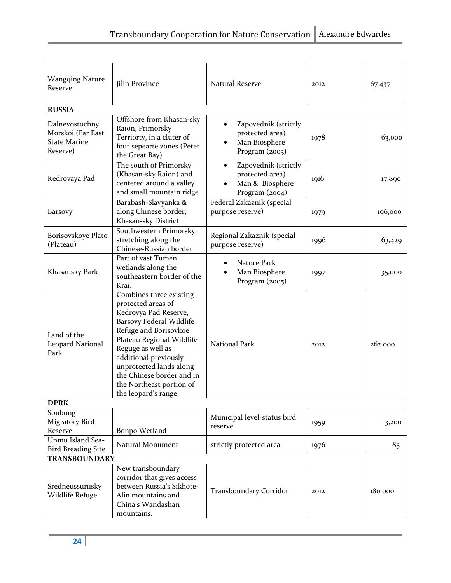| <b>Wangqing Nature</b><br>Reserve                                      | Jilin Province                                                                                                                                                                                                                                                                                                            | <b>Natural Reserve</b>                                                                    | 2012 | 67 437  |
|------------------------------------------------------------------------|---------------------------------------------------------------------------------------------------------------------------------------------------------------------------------------------------------------------------------------------------------------------------------------------------------------------------|-------------------------------------------------------------------------------------------|------|---------|
| <b>RUSSIA</b>                                                          |                                                                                                                                                                                                                                                                                                                           |                                                                                           |      |         |
| Dalnevostochny<br>Morskoi (Far East<br><b>State Marine</b><br>Reserve) | Offshore from Khasan-sky<br>Raion, Primorsky<br>Terriorty, in a cluter of<br>four sepearte zones (Peter<br>the Great Bay)                                                                                                                                                                                                 | Zapovednik (strictly<br>protected area)<br>Man Biosphere<br>$\bullet$<br>Program (2003)   | 1978 | 63,000  |
| Kedrovaya Pad                                                          | The south of Primorsky<br>(Khasan-sky Raion) and<br>centered around a valley<br>and small mountain ridge                                                                                                                                                                                                                  | Zapovednik (strictly<br>$\bullet$<br>protected area)<br>Man & Biosphere<br>Program (2004) | 1916 | 17,890  |
| Barsovy                                                                | Barabash-Slavyanka &<br>along Chinese border,<br>Khasan-sky District                                                                                                                                                                                                                                                      | Federal Zakaznik (special<br>purpose reserve)                                             | 1979 | 106,000 |
| Borisovskoye Plato<br>(Plateau)                                        | Southwestern Primorsky,<br>stretching along the<br>Chinese-Russian border                                                                                                                                                                                                                                                 | Regional Zakaznik (special<br>purpose reserve)                                            | 1996 | 63,429  |
| Khasansky Park                                                         | Part of vast Tumen<br>wetlands along the<br>southeastern border of the<br>Krai.                                                                                                                                                                                                                                           | Nature Park<br>Man Biosphere<br>Program $(2005)$                                          | 1997 | 35,000  |
| Land of the<br>Leopard National<br>Park                                | Combines three existing<br>protected areas of<br>Kedrovya Pad Reserve,<br><b>Barsovy Federal Wildlife</b><br>Refuge and Borisovkoe<br>Plateau Regional Wildlife<br>Reguge as well as<br>additional previously<br>unprotected lands along<br>the Chinese border and in<br>the Northeast portion of<br>the leopard's range. | <b>National Park</b>                                                                      | 2012 | 262 000 |
| <b>DPRK</b>                                                            |                                                                                                                                                                                                                                                                                                                           |                                                                                           |      |         |
| Sonbong<br><b>Migratory Bird</b><br>Reserve                            | Bonpo Wetland                                                                                                                                                                                                                                                                                                             | Municipal level-status bird<br>reserve                                                    | 1959 | 3,200   |
| Unmu Island Sea-<br><b>Bird Breading Site</b><br><b>TRANSBOUNDARY</b>  | Natural Monument                                                                                                                                                                                                                                                                                                          | strictly protected area                                                                   | 1976 | 85      |
| New transboundary                                                      |                                                                                                                                                                                                                                                                                                                           |                                                                                           |      |         |
| Sredneussuriisky<br>Wildlife Refuge                                    | corridor that gives access<br>between Russia's Sikhote-<br>Alin mountains and<br>China's Wandashan<br>mountains.                                                                                                                                                                                                          | Transboundary Corridor                                                                    | 2012 | 180 000 |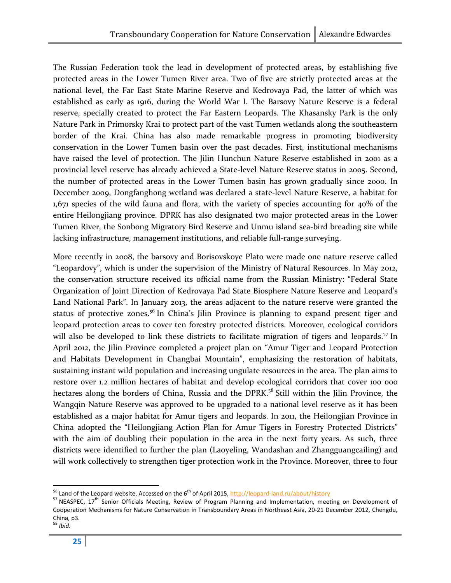The Russian Federation took the lead in development of protected areas, by establishing five protected areas in the Lower Tumen River area. Two of five are strictly protected areas at the national level, the Far East State Marine Reserve and Kedrovaya Pad, the latter of which was established as early as 1916, during the World War I. The Barsovy Nature Reserve is a federal reserve, specially created to protect the Far Eastern Leopards. The Khasansky Park is the only Nature Park in Primorsky Krai to protect part of the vast Tumen wetlands along the southeastern border of the Krai. China has also made remarkable progress in promoting biodiversity conservation in the Lower Tumen basin over the past decades. First, institutional mechanisms have raised the level of protection. The Jilin Hunchun Nature Reserve established in 2001 as a provincial level reserve has already achieved a State-level Nature Reserve status in 2005. Second, the number of protected areas in the Lower Tumen basin has grown gradually since 2000. In December 2009, Dongfanghong wetland was declared a state-level Nature Reserve, a habitat for 1,671 species of the wild fauna and flora, with the variety of species accounting for 40% of the entire Heilongjiang province. DPRK has also designated two major protected areas in the Lower Tumen River, the Sonbong Migratory Bird Reserve and Unmu island sea-bird breading site while lacking infrastructure, management institutions, and reliable full-range surveying.

More recently in 2008, the barsovy and Borisovskoye Plato were made one nature reserve called "Leopardovy", which is under the supervision of the Ministry of Natural Resources. In May 2012, the conservation structure received its official name from the Russian Ministry: "Federal State Organization of Joint Direction of Kedrovaya Pad State Biosphere Nature Reserve and Leopard's Land National Park". In January 2013, the areas adjacent to the nature reserve were granted the status of protective zones.<sup>56</sup> In China's Jilin Province is planning to expand present tiger and leopard protection areas to cover ten forestry protected districts. Moreover, ecological corridors will also be developed to link these districts to facilitate migration of tigers and leopards.<sup>57</sup> In April 2012, the Jilin Province completed a project plan on "Amur Tiger and Leopard Protection and Habitats Development in Changbai Mountain", emphasizing the restoration of habitats, sustaining instant wild population and increasing ungulate resources in the area. The plan aims to restore over 1.2 million hectares of habitat and develop ecological corridors that cover 100 000 hectares along the borders of China, Russia and the DPRK. <sup>58</sup> Still within the Jilin Province, the Wangqin Nature Reserve was approved to be upgraded to a national level reserve as it has been established as a major habitat for Amur tigers and leopards. In 2011, the Heilongjian Province in China adopted the "Heilongjiang Action Plan for Amur Tigers in Forestry Protected Districts" with the aim of doubling their population in the area in the next forty years. As such, three districts were identified to further the plan (Laoyeling, Wandashan and Zhangguangcailing) and will work collectively to strengthen tiger protection work in the Province. Moreover, three to four

l

<sup>&</sup>lt;sup>56</sup> Land of the Leopard website, Accessed on the 6<sup>th</sup> of April 2015, <u>http://leopard-land.ru/about/history</u>

<sup>&</sup>lt;sup>57</sup> NEASPEC, 17<sup>th</sup> Senior Officials Meeting, Review of Program Planning and Implementation, meeting on Development of Cooperation Mechanisms for Nature Conservation in Transboundary Areas in Northeast Asia, 20-21 December 2012, Chengdu, China, p3.

 $58$  Ibid.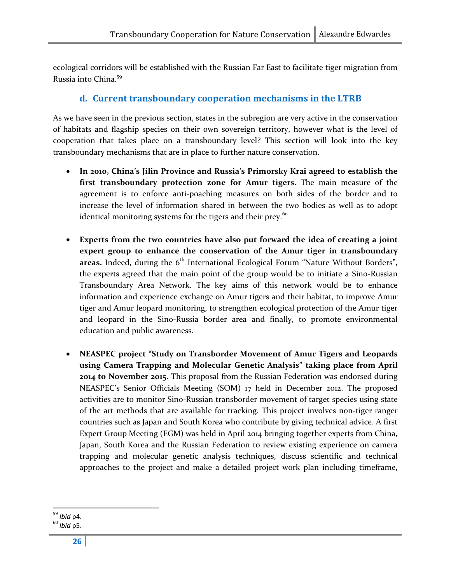ecological corridors will be established with the Russian Far East to facilitate tiger migration from Russia into China.<sup>59</sup>

## d. Current transboundary cooperation mechanisms in the LTRB

As we have seen in the previous section, states in the subregion are very active in the conservation of habitats and flagship species on their own sovereign territory, however what is the level of cooperation that takes place on a transboundary level? This section will look into the key transboundary mechanisms that are in place to further nature conservation.

- In 2010, China's Jilin Province and Russia's Primorsky Krai agreed to establish the first transboundary protection zone for Amur tigers. The main measure of the agreement is to enforce anti-poaching measures on both sides of the border and to increase the level of information shared in between the two bodies as well as to adopt identical monitoring systems for the tigers and their prey.<sup>60</sup>
- Experts from the two countries have also put forward the idea of creating a joint expert group to enhance the conservation of the Amur tiger in transboundary areas. Indeed, during the  $6<sup>th</sup>$  International Ecological Forum "Nature Without Borders", the experts agreed that the main point of the group would be to initiate a Sino-Russian Transboundary Area Network. The key aims of this network would be to enhance information and experience exchange on Amur tigers and their habitat, to improve Amur tiger and Amur leopard monitoring, to strengthen ecological protection of the Amur tiger and leopard in the Sino-Russia border area and finally, to promote environmental education and public awareness.
- NEASPEC project "Study on Transborder Movement of Amur Tigers and Leopards using Camera Trapping and Molecular Genetic Analysis" taking place from April 2014 to November 2015. This proposal from the Russian Federation was endorsed during NEASPEC's Senior Officials Meeting (SOM) 17 held in December 2012. The proposed activities are to monitor Sino-Russian transborder movement of target species using state of the art methods that are available for tracking. This project involves non-tiger ranger countries such as Japan and South Korea who contribute by giving technical advice. A first Expert Group Meeting (EGM) was held in April 2014 bringing together experts from China, Japan, South Korea and the Russian Federation to review existing experience on camera trapping and molecular genetic analysis techniques, discuss scientific and technical approaches to the project and make a detailed project work plan including timeframe,

 $\overline{a}$ <sup>59</sup> Ibid p4.

 $60$  Ibid p5.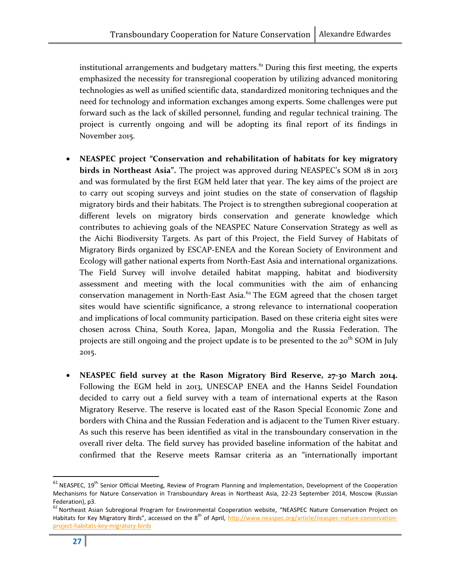institutional arrangements and budgetary matters. $64$  During this first meeting, the experts emphasized the necessity for transregional cooperation by utilizing advanced monitoring technologies as well as unified scientific data, standardized monitoring techniques and the need for technology and information exchanges among experts. Some challenges were put forward such as the lack of skilled personnel, funding and regular technical training. The project is currently ongoing and will be adopting its final report of its findings in November 2015.

- NEASPEC project "Conservation and rehabilitation of habitats for key migratory birds in Northeast Asia". The project was approved during NEASPEC's SOM 18 in 2013 and was formulated by the first EGM held later that year. The key aims of the project are to carry out scoping surveys and joint studies on the state of conservation of flagship migratory birds and their habitats. The Project is to strengthen subregional cooperation at different levels on migratory birds conservation and generate knowledge which contributes to achieving goals of the NEASPEC Nature Conservation Strategy as well as the Aichi Biodiversity Targets. As part of this Project, the Field Survey of Habitats of Migratory Birds organized by ESCAP-ENEA and the Korean Society of Environment and Ecology will gather national experts from North-East Asia and international organizations. The Field Survey will involve detailed habitat mapping, habitat and biodiversity assessment and meeting with the local communities with the aim of enhancing conservation management in North-East Asia.<sup>62</sup> The EGM agreed that the chosen target sites would have scientific significance, a strong relevance to international cooperation and implications of local community participation. Based on these criteria eight sites were chosen across China, South Korea, Japan, Mongolia and the Russia Federation. The projects are still ongoing and the project update is to be presented to the 20<sup>th</sup> SOM in July 2015.
- NEASPEC field survey at the Rason Migratory Bird Reserve, 27-30 March 2014. Following the EGM held in 2013, UNESCAP ENEA and the Hanns Seidel Foundation decided to carry out a field survey with a team of international experts at the Rason Migratory Reserve. The reserve is located east of the Rason Special Economic Zone and borders with China and the Russian Federation and is adjacent to the Tumen River estuary. As such this reserve has been identified as vital in the transboundary conservation in the overall river delta. The field survey has provided baseline information of the habitat and confirmed that the Reserve meets Ramsar criteria as an "internationally important

 $61$  NEASPEC, 19<sup>th</sup> Senior Official Meeting, Review of Program Planning and Implementation, Development of the Cooperation Mechanisms for Nature Conservation in Transboundary Areas in Northeast Asia, 22-23 September 2014, Moscow (Russian

Federation), p3.<br><sup>62</sup> Northeast Asian Subregional Program for Environmental Cooperation website, "NEASPEC Nature Conservation Project on Habitats for Key Migratory Birds", accessed on the 8<sup>th</sup> of April, http://www.neaspec.org/article/neaspec-nature-conservationproject-habitats-key-migratory-birds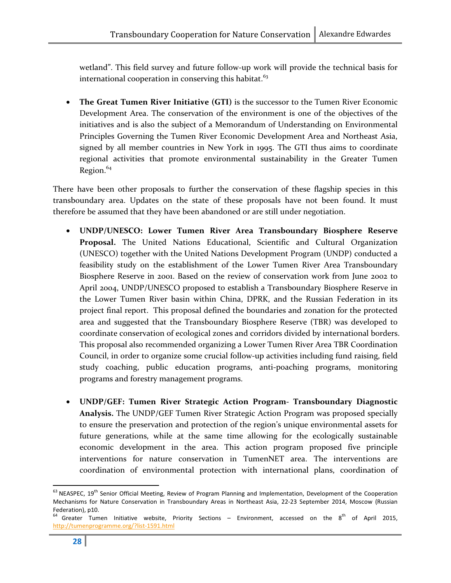wetland". This field survey and future follow-up work will provide the technical basis for international cooperation in conserving this habitat. $63$ 

• The Great Tumen River Initiative (GTI) is the successor to the Tumen River Economic Development Area. The conservation of the environment is one of the objectives of the initiatives and is also the subject of a Memorandum of Understanding on Environmental Principles Governing the Tumen River Economic Development Area and Northeast Asia, signed by all member countries in New York in 1995. The GTI thus aims to coordinate regional activities that promote environmental sustainability in the Greater Tumen Region. $64$ 

There have been other proposals to further the conservation of these flagship species in this transboundary area. Updates on the state of these proposals have not been found. It must therefore be assumed that they have been abandoned or are still under negotiation.

- UNDP/UNESCO: Lower Tumen River Area Transboundary Biosphere Reserve Proposal. The United Nations Educational, Scientific and Cultural Organization (UNESCO) together with the United Nations Development Program (UNDP) conducted a feasibility study on the establishment of the Lower Tumen River Area Transboundary Biosphere Reserve in 2001. Based on the review of conservation work from June 2002 to April 2004, UNDP/UNESCO proposed to establish a Transboundary Biosphere Reserve in the Lower Tumen River basin within China, DPRK, and the Russian Federation in its project final report. This proposal defined the boundaries and zonation for the protected area and suggested that the Transboundary Biosphere Reserve (TBR) was developed to coordinate conservation of ecological zones and corridors divided by international borders. This proposal also recommended organizing a Lower Tumen River Area TBR Coordination Council, in order to organize some crucial follow-up activities including fund raising, field study coaching, public education programs, anti-poaching programs, monitoring programs and forestry management programs.
- UNDP/GEF: Tumen River Strategic Action Program- Transboundary Diagnostic Analysis. The UNDP/GEF Tumen River Strategic Action Program was proposed specially to ensure the preservation and protection of the region's unique environmental assets for future generations, while at the same time allowing for the ecologically sustainable economic development in the area. This action program proposed five principle interventions for nature conservation in TumenNET area. The interventions are coordination of environmental protection with international plans, coordination of

l

<sup>&</sup>lt;sup>63</sup> NEASPEC, 19<sup>th</sup> Senior Official Meeting, Review of Program Planning and Implementation, Development of the Cooperation Mechanisms for Nature Conservation in Transboundary Areas in Northeast Asia, 22-23 September 2014, Moscow (Russian Federation), p10.

 $64$  Greater Tumen Initiative website, Priority Sections – Environment, accessed on the  $8^{th}$  of April 2015, http://tumenprogramme.org/?list-1591.html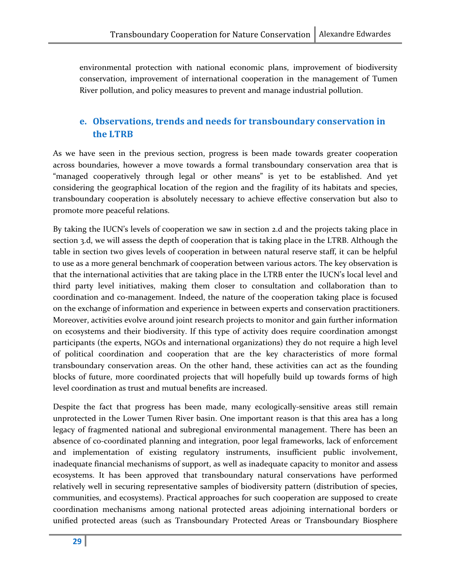environmental protection with national economic plans, improvement of biodiversity conservation, improvement of international cooperation in the management of Tumen River pollution, and policy measures to prevent and manage industrial pollution.

## e. Observations, trends and needs for transboundary conservation in the LTRB

As we have seen in the previous section, progress is been made towards greater cooperation across boundaries, however a move towards a formal transboundary conservation area that is "managed cooperatively through legal or other means" is yet to be established. And yet considering the geographical location of the region and the fragility of its habitats and species, transboundary cooperation is absolutely necessary to achieve effective conservation but also to promote more peaceful relations.

By taking the IUCN's levels of cooperation we saw in section 2.d and the projects taking place in section 3.d, we will assess the depth of cooperation that is taking place in the LTRB. Although the table in section two gives levels of cooperation in between natural reserve staff, it can be helpful to use as a more general benchmark of cooperation between various actors. The key observation is that the international activities that are taking place in the LTRB enter the IUCN's local level and third party level initiatives, making them closer to consultation and collaboration than to coordination and co-management. Indeed, the nature of the cooperation taking place is focused on the exchange of information and experience in between experts and conservation practitioners. Moreover, activities evolve around joint research projects to monitor and gain further information on ecosystems and their biodiversity. If this type of activity does require coordination amongst participants (the experts, NGOs and international organizations) they do not require a high level of political coordination and cooperation that are the key characteristics of more formal transboundary conservation areas. On the other hand, these activities can act as the founding blocks of future, more coordinated projects that will hopefully build up towards forms of high level coordination as trust and mutual benefits are increased.

Despite the fact that progress has been made, many ecologically-sensitive areas still remain unprotected in the Lower Tumen River basin. One important reason is that this area has a long legacy of fragmented national and subregional environmental management. There has been an absence of co-coordinated planning and integration, poor legal frameworks, lack of enforcement and implementation of existing regulatory instruments, insufficient public involvement, inadequate financial mechanisms of support, as well as inadequate capacity to monitor and assess ecosystems. It has been approved that transboundary natural conservations have performed relatively well in securing representative samples of biodiversity pattern (distribution of species, communities, and ecosystems). Practical approaches for such cooperation are supposed to create coordination mechanisms among national protected areas adjoining international borders or unified protected areas (such as Transboundary Protected Areas or Transboundary Biosphere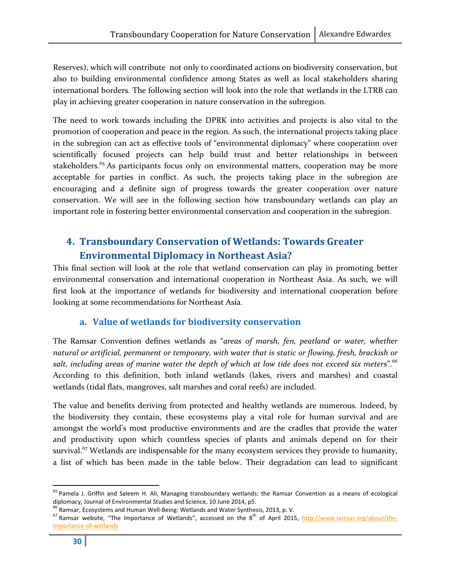Reserves), which will contribute not only to coordinated actions on biodiversity conservation, but also to building environmental confidence among States as well as local stakeholders sharing international borders. The following section will look into the role that wetlands in the LTRB can play in achieving greater cooperation in nature conservation in the subregion.

The need to work towards including the DPRK into activities and projects is also vital to the promotion of cooperation and peace in the region. As such, the international projects taking place in the subregion can act as effective tools of "environmental diplomacy" where cooperation over scientifically focused projects can help build trust and better relationships in between stakeholders.<sup>65</sup> As participants focus only on environmental matters, cooperation may be more acceptable for parties in conflict. As such, the projects taking place in the subregion are encouraging and a definite sign of progress towards the greater cooperation over nature conservation. We will see in the following section how transboundary wetlands can play an important role in fostering better environmental conservation and cooperation in the subregion.

## 4. Transboundary Conservation of Wetlands: Towards Greater Environmental Diplomacy in Northeast Asia?

This final section will look at the role that wetland conservation can play in promoting better environmental conservation and international cooperation in Northeast Asia. As such, we will first look at the importance of wetlands for biodiversity and international cooperation before looking at some recommendations for Northeast Asia.

#### a. Value of wetlands for biodiversity conservation

The Ramsar Convention defines wetlands as "areas of marsh, fen, peatland or water, whether natural or artificial, permanent or temporary, with water that is static or flowing, fresh, brackish or salt, including areas of marine water the depth of which at low tide does not exceed six meters".<sup>66</sup> According to this definition, both inland wetlands (lakes, rivers and marshes) and coastal wetlands (tidal flats, mangroves, salt marshes and coral reefs) are included.

The value and benefits deriving from protected and healthy wetlands are numerous. Indeed, by the biodiversity they contain, these ecosystems play a vital role for human survival and are amongst the world's most productive environments and are the cradles that provide the water and productivity upon which countless species of plants and animals depend on for their survival.<sup>67</sup> Wetlands are indispensable for the many ecosystem services they provide to humanity, a list of which has been made in the table below. Their degradation can lead to significant

<sup>&</sup>lt;sup>65</sup> Pamela J. Griffin and Saleem H. Ali, Managing transboundary wetlands: the Ramsar Convention as a means of ecological diplomacy, Journal of Environmental Studies and Science, 10 June 2014, p5.<br><sup>66</sup> Ramsar, Ecosystems and Human Well-Being: Wetlands and Water Synthesis, 2013, p. V.

 $67$  Ramsar website, "The Importance of Wetlands", accessed on the  $8^{th}$  of April 2015, http://www.ramsar.org/about/theimportance-of-wetlands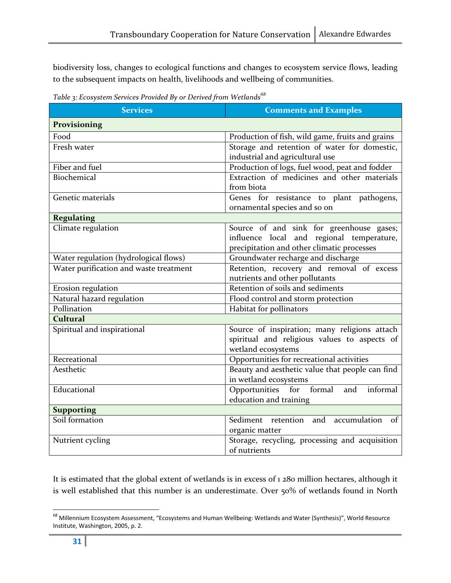biodiversity loss, changes to ecological functions and changes to ecosystem service flows, leading to the subsequent impacts on health, livelihoods and wellbeing of communities.

Table 3: Ecosystem Services Provided By or Derived from Wetlands<sup>68</sup>

| <b>Services</b>                                                                       | <b>Comments and Examples</b>                                                                                                        |  |
|---------------------------------------------------------------------------------------|-------------------------------------------------------------------------------------------------------------------------------------|--|
| Provisioning                                                                          |                                                                                                                                     |  |
| Food                                                                                  | Production of fish, wild game, fruits and grains                                                                                    |  |
| Fresh water                                                                           | Storage and retention of water for domestic,<br>industrial and agricultural use                                                     |  |
| Fiber and fuel                                                                        | Production of logs, fuel wood, peat and fodder                                                                                      |  |
| Biochemical                                                                           | Extraction of medicines and other materials<br>from biota                                                                           |  |
| Genetic materials                                                                     | Genes for resistance to plant pathogens,<br>ornamental species and so on                                                            |  |
| <b>Regulating</b>                                                                     |                                                                                                                                     |  |
| Climate regulation                                                                    | Source of and sink for greenhouse gases;<br>influence local and regional temperature,<br>precipitation and other climatic processes |  |
| Water regulation (hydrological flows)                                                 | Groundwater recharge and discharge                                                                                                  |  |
| Water purification and waste treatment                                                | Retention, recovery and removal of excess<br>nutrients and other pollutants                                                         |  |
| Erosion regulation                                                                    | Retention of soils and sediments                                                                                                    |  |
| Natural hazard regulation                                                             | Flood control and storm protection                                                                                                  |  |
| Pollination                                                                           | Habitat for pollinators                                                                                                             |  |
| <b>Cultural</b>                                                                       |                                                                                                                                     |  |
| Spiritual and inspirational                                                           | Source of inspiration; many religions attach<br>spiritual and religious values to aspects of<br>wetland ecosystems                  |  |
| Recreational                                                                          | Opportunities for recreational activities                                                                                           |  |
| Beauty and aesthetic value that people can find<br>Aesthetic<br>in wetland ecosystems |                                                                                                                                     |  |
| Educational                                                                           | Opportunities for formal<br>and<br>informal<br>education and training                                                               |  |
| <b>Supporting</b>                                                                     |                                                                                                                                     |  |
| Soil formation                                                                        | Sediment retention and accumulation of<br>organic matter                                                                            |  |
| Nutrient cycling                                                                      | Storage, recycling, processing and acquisition<br>of nutrients                                                                      |  |

It is estimated that the global extent of wetlands is in excess of 1 280 million hectares, although it is well established that this number is an underestimate. Over 50% of wetlands found in North

<sup>&</sup>lt;sup>68</sup> Millennium Ecosystem Assessment, "Ecosystems and Human Wellbeing: Wetlands and Water (Synthesis)", World Resource Institute, Washington, 2005, p. 2.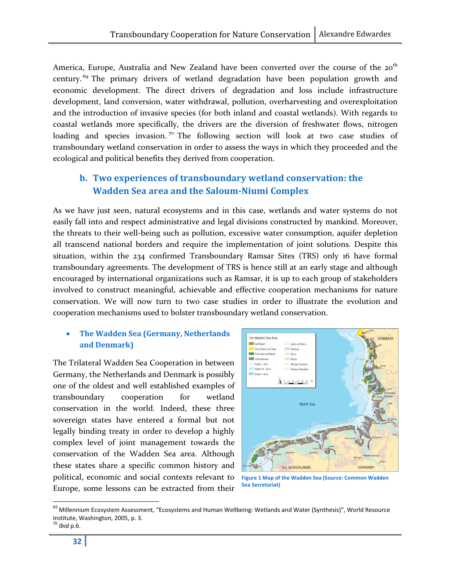America, Europe, Australia and New Zealand have been converted over the course of the 20<sup>th</sup> century.<sup>69</sup> The primary drivers of wetland degradation have been population growth and economic development. The direct drivers of degradation and loss include infrastructure development, land conversion, water withdrawal, pollution, overharvesting and overexploitation and the introduction of invasive species (for both inland and coastal wetlands). With regards to coastal wetlands more specifically, the drivers are the diversion of freshwater flows, nitrogen loading and species invasion.<sup>70</sup> The following section will look at two case studies of transboundary wetland conservation in order to assess the ways in which they proceeded and the ecological and political benefits they derived from cooperation.

## b. Two experiences of transboundary wetland conservation: the Wadden Sea area and the Saloum-Niumi Complex

As we have just seen, natural ecosystems and in this case, wetlands and water systems do not easily fall into and respect administrative and legal divisions constructed by mankind. Moreover, the threats to their well-being such as pollution, excessive water consumption, aquifer depletion all transcend national borders and require the implementation of joint solutions. Despite this situation, within the 234 confirmed Transboundary Ramsar Sites (TRS) only 16 have formal transboundary agreements. The development of TRS is hence still at an early stage and although encouraged by international organizations such as Ramsar, it is up to each group of stakeholders involved to construct meaningful, achievable and effective cooperation mechanisms for nature conservation. We will now turn to two case studies in order to illustrate the evolution and cooperation mechanisms used to bolster transboundary wetland conservation.

#### • The Wadden Sea (Germany, Netherlands and Denmark)

The Trilateral Wadden Sea Cooperation in between Germany, the Netherlands and Denmark is possibly one of the oldest and well established examples of transboundary cooperation for wetland conservation in the world. Indeed, these three sovereign states have entered a formal but not legally binding treaty in order to develop a highly complex level of joint management towards the conservation of the Wadden Sea area. Although these states share a specific common history and political, economic and social contexts relevant to Europe, some lessons can be extracted from their



Figure 1 Map of the Wadden Sea (Source: Common Wadden Sea Secretariat)

 $70$  Ibid p.6.

<sup>&</sup>lt;sup>69</sup> Millennium Ecosystem Assessment, "Ecosystems and Human Wellbeing: Wetlands and Water (Synthesis)", World Resource Institute, Washington, 2005, p. 3.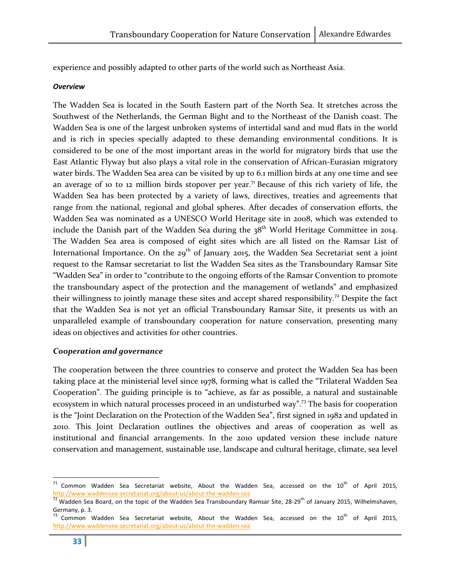experience and possibly adapted to other parts of the world such as Northeast Asia.

#### **Overview**

The Wadden Sea is located in the South Eastern part of the North Sea. It stretches across the Southwest of the Netherlands, the German Bight and to the Northeast of the Danish coast. The Wadden Sea is one of the largest unbroken systems of intertidal sand and mud flats in the world and is rich in species specially adapted to these demanding environmental conditions. It is considered to be one of the most important areas in the world for migratory birds that use the East Atlantic Flyway but also plays a vital role in the conservation of African-Eurasian migratory water birds. The Wadden Sea area can be visited by up to 6.1 million birds at any one time and see an average of 10 to 12 million birds stopover per year.<sup>71</sup> Because of this rich variety of life, the Wadden Sea has been protected by a variety of laws, directives, treaties and agreements that range from the national, regional and global spheres. After decades of conservation efforts, the Wadden Sea was nominated as a UNESCO World Heritage site in 2008, which was extended to include the Danish part of the Wadden Sea during the  $38<sup>th</sup>$  World Heritage Committee in 2014. The Wadden Sea area is composed of eight sites which are all listed on the Ramsar List of International Importance. On the  $29<sup>th</sup>$  of January 2015, the Wadden Sea Secretariat sent a joint request to the Ramsar secretariat to list the Wadden Sea sites as the Transboundary Ramsar Site "Wadden Sea" in order to "contribute to the ongoing efforts of the Ramsar Convention to promote the transboundary aspect of the protection and the management of wetlands" and emphasized their willingness to jointly manage these sites and accept shared responsibility.<sup>72</sup> Despite the fact that the Wadden Sea is not yet an official Transboundary Ramsar Site, it presents us with an unparalleled example of transboundary cooperation for nature conservation, presenting many ideas on objectives and activities for other countries.

#### Cooperation and governance

The cooperation between the three countries to conserve and protect the Wadden Sea has been taking place at the ministerial level since 1978, forming what is called the "Trilateral Wadden Sea Cooperation". The guiding principle is to "achieve, as far as possible, a natural and sustainable ecosystem in which natural processes proceed in an undisturbed way".<sup>73</sup> The basis for cooperation is the "Joint Declaration on the Protection of the Wadden Sea", first signed in 1982 and updated in 2010. This Joint Declaration outlines the objectives and areas of cooperation as well as institutional and financial arrangements. In the 2010 updated version these include nature conservation and management, sustainable use, landscape and cultural heritage, climate, sea level

 $71$  Common Wadden Sea Secretariat website, About the Wadden Sea, accessed on the  $10^{th}$  of April 2015, http://www.waddensea-secretariat.org/about-us/about-the-wadden-sea

 $\frac{72}{12}$  Wadden Sea Board, on the topic of the Wadden Sea Transboundary Ramsar Site, 28-29<sup>th</sup> of January 2015, Wilhelmshaven, Germany, p. 3.<br><sup>73</sup> Common Wadden Sea Secretariat website, About the Wadden Sea, accessed on the 10<sup>th</sup> of April 2015,

http://www.waddensea-secretariat.org/about-us/about-the-wadden-sea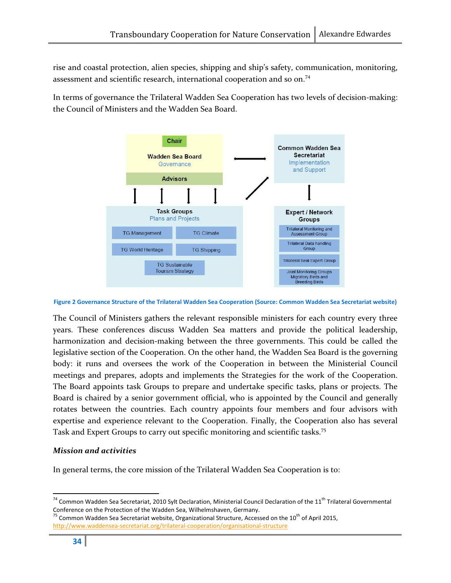rise and coastal protection, alien species, shipping and ship's safety, communication, monitoring, assessment and scientific research, international cooperation and so on.<sup>74</sup>

In terms of governance the Trilateral Wadden Sea Cooperation has two levels of decision-making: the Council of Ministers and the Wadden Sea Board.



Figure 2 Governance Structure of the Trilateral Wadden Sea Cooperation (Source: Common Wadden Sea Secretariat website)

The Council of Ministers gathers the relevant responsible ministers for each country every three years. These conferences discuss Wadden Sea matters and provide the political leadership, harmonization and decision-making between the three governments. This could be called the legislative section of the Cooperation. On the other hand, the Wadden Sea Board is the governing body: it runs and oversees the work of the Cooperation in between the Ministerial Council meetings and prepares, adopts and implements the Strategies for the work of the Cooperation. The Board appoints task Groups to prepare and undertake specific tasks, plans or projects. The Board is chaired by a senior government official, who is appointed by the Council and generally rotates between the countries. Each country appoints four members and four advisors with expertise and experience relevant to the Cooperation. Finally, the Cooperation also has several Task and Expert Groups to carry out specific monitoring and scientific tasks.<sup>75</sup>

#### Mission and activities

In general terms, the core mission of the Trilateral Wadden Sea Cooperation is to:

 $74$  Common Wadden Sea Secretariat, 2010 Sylt Declaration, Ministerial Council Declaration of the 11<sup>th</sup> Trilateral Governmental Conference on the Protection of the Wadden Sea, Wilhelmshaven, Germany.

 $75$  Common Wadden Sea Secretariat website, Organizational Structure, Accessed on the 10<sup>th</sup> of April 2015, http://www.waddensea-secretariat.org/trilateral-cooperation/organisational-structure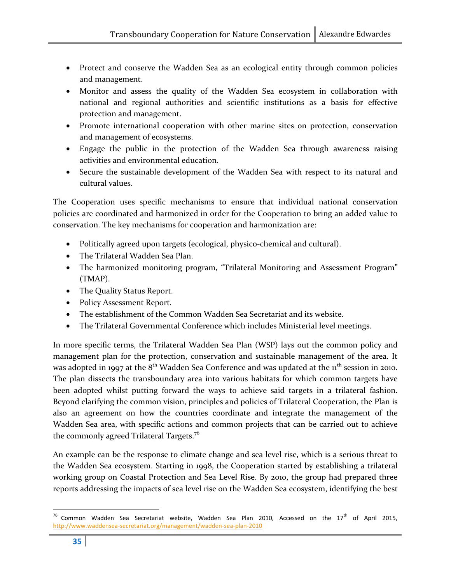- Protect and conserve the Wadden Sea as an ecological entity through common policies and management.
- Monitor and assess the quality of the Wadden Sea ecosystem in collaboration with national and regional authorities and scientific institutions as a basis for effective protection and management.
- Promote international cooperation with other marine sites on protection, conservation and management of ecosystems.
- Engage the public in the protection of the Wadden Sea through awareness raising activities and environmental education.
- Secure the sustainable development of the Wadden Sea with respect to its natural and cultural values.

The Cooperation uses specific mechanisms to ensure that individual national conservation policies are coordinated and harmonized in order for the Cooperation to bring an added value to conservation. The key mechanisms for cooperation and harmonization are:

- Politically agreed upon targets (ecological, physico-chemical and cultural).
- The Trilateral Wadden Sea Plan.
- The harmonized monitoring program, "Trilateral Monitoring and Assessment Program" (TMAP).
- The Quality Status Report.
- Policy Assessment Report.
- The establishment of the Common Wadden Sea Secretariat and its website.
- The Trilateral Governmental Conference which includes Ministerial level meetings.

In more specific terms, the Trilateral Wadden Sea Plan (WSP) lays out the common policy and management plan for the protection, conservation and sustainable management of the area. It was adopted in 1997 at the  $8<sup>th</sup>$  Wadden Sea Conference and was updated at the  $1<sup>th</sup>$  session in 2010. The plan dissects the transboundary area into various habitats for which common targets have been adopted whilst putting forward the ways to achieve said targets in a trilateral fashion. Beyond clarifying the common vision, principles and policies of Trilateral Cooperation, the Plan is also an agreement on how the countries coordinate and integrate the management of the Wadden Sea area, with specific actions and common projects that can be carried out to achieve the commonly agreed Trilateral Targets.<sup>76</sup>

An example can be the response to climate change and sea level rise, which is a serious threat to the Wadden Sea ecosystem. Starting in 1998, the Cooperation started by establishing a trilateral working group on Coastal Protection and Sea Level Rise. By 2010, the group had prepared three reports addressing the impacts of sea level rise on the Wadden Sea ecosystem, identifying the best

l

 $^{76}$  Common Wadden Sea Secretariat website, Wadden Sea Plan 2010, Accessed on the 17<sup>th</sup> of April 2015, http://www.waddensea-secretariat.org/management/wadden-sea-plan-2010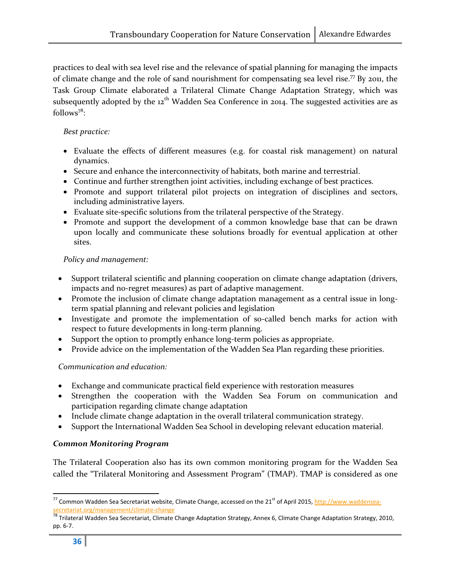practices to deal with sea level rise and the relevance of spatial planning for managing the impacts of climate change and the role of sand nourishment for compensating sea level rise.<sup>77</sup> By 2011, the Task Group Climate elaborated a Trilateral Climate Change Adaptation Strategy, which was subsequently adopted by the  $12<sup>th</sup>$  Wadden Sea Conference in 2014. The suggested activities are as follows<sup>78</sup>:

#### Best practice:

- Evaluate the effects of different measures (e.g. for coastal risk management) on natural dynamics.
- Secure and enhance the interconnectivity of habitats, both marine and terrestrial.
- Continue and further strengthen joint activities, including exchange of best practices.
- Promote and support trilateral pilot projects on integration of disciplines and sectors, including administrative layers.
- Evaluate site-specific solutions from the trilateral perspective of the Strategy.
- Promote and support the development of a common knowledge base that can be drawn upon locally and communicate these solutions broadly for eventual application at other sites.

#### Policy and management:

- Support trilateral scientific and planning cooperation on climate change adaptation (drivers, impacts and no-regret measures) as part of adaptive management.
- Promote the inclusion of climate change adaptation management as a central issue in longterm spatial planning and relevant policies and legislation
- Investigate and promote the implementation of so-called bench marks for action with respect to future developments in long-term planning.
- Support the option to promptly enhance long-term policies as appropriate.
- Provide advice on the implementation of the Wadden Sea Plan regarding these priorities.

#### Communication and education:

- Exchange and communicate practical field experience with restoration measures
- Strengthen the cooperation with the Wadden Sea Forum on communication and participation regarding climate change adaptation
- Include climate change adaptation in the overall trilateral communication strategy.
- Support the International Wadden Sea School in developing relevant education material.

#### Common Monitoring Program

The Trilateral Cooperation also has its own common monitoring program for the Wadden Sea called the "Trilateral Monitoring and Assessment Program" (TMAP). TMAP is considered as one

 $\overline{a}$ 

<sup>&</sup>lt;sup>77</sup> Common Wadden Sea Secretariat website, Climate Change, accessed on the 21<sup>st</sup> of April 2015, http://www.waddensea-<mark>secretariat.org/management/climate-change</mark><br><sup>78</sup> Trilateral Wadden Sea Secretariat, Climate Change Adaptation Strategy, Annex 6, Climate Change Adaptation Strategy, 2010,

pp. 6-7.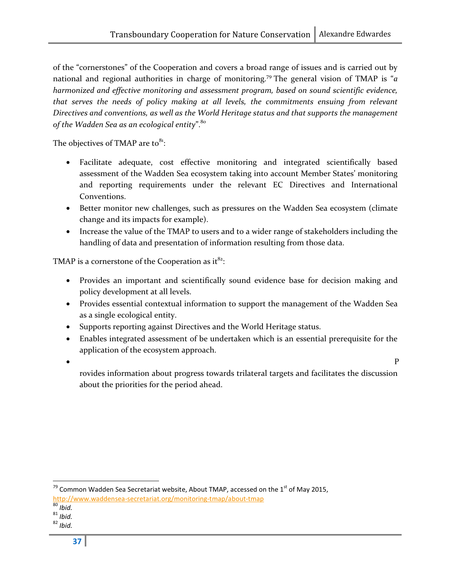of the "cornerstones" of the Cooperation and covers a broad range of issues and is carried out by national and regional authorities in charge of monitoring.<sup>79</sup> The general vision of TMAP is "*a* harmonized and effective monitoring and assessment program, based on sound scientific evidence, that serves the needs of policy making at all levels, the commitments ensuing from relevant Directives and conventions, as well as the World Heritage status and that supports the management of the Wadden Sea as an ecological entity". $80$ 

The objectives of TMAP are to $^{8_1}$ :

- Facilitate adequate, cost effective monitoring and integrated scientifically based assessment of the Wadden Sea ecosystem taking into account Member States' monitoring and reporting requirements under the relevant EC Directives and International Conventions.
- Better monitor new challenges, such as pressures on the Wadden Sea ecosystem (climate change and its impacts for example).
- Increase the value of the TMAP to users and to a wider range of stakeholders including the handling of data and presentation of information resulting from those data.

TMAP is a cornerstone of the Cooperation as it $^{82}$ :

- Provides an important and scientifically sound evidence base for decision making and policy development at all levels.
- Provides essential contextual information to support the management of the Wadden Sea as a single ecological entity.
- Supports reporting against Directives and the World Heritage status.
- Enables integrated assessment of be undertaken which is an essential prerequisite for the application of the ecosystem approach.
- $\bullet$  P

rovides information about progress towards trilateral targets and facilitates the discussion about the priorities for the period ahead.

 $^{79}$  Common Wadden Sea Secretariat website, About TMAP, accessed on the 1<sup>st</sup> of May 2015, http://www.waddensea-secretariat.org/monitoring-tmap/about-tmap

 $\overline{80}$  Ibid.

 $81$  Ibid.

 $82$  Ibid.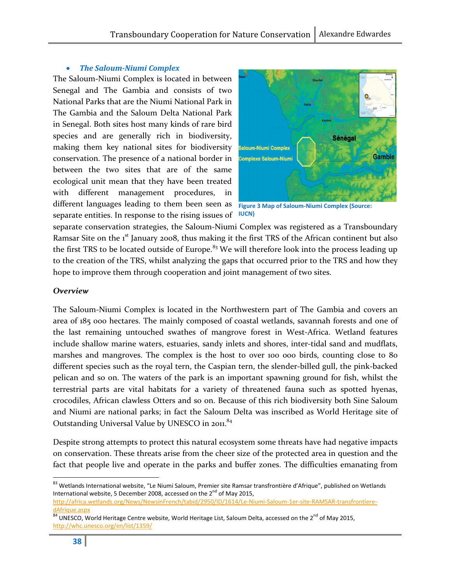#### • The Saloum-Niumi Complex

The Saloum-Niumi Complex is located in between Senegal and The Gambia and consists of two National Parks that are the Niumi National Park in The Gambia and the Saloum Delta National Park in Senegal. Both sites host many kinds of rare bird species and are generally rich in biodiversity, making them key national sites for biodiversity conservation. The presence of a national border in between the two sites that are of the same ecological unit mean that they have been treated with different management procedures, in different languages leading to them been seen as Figure 3 Map of Saloum-Niumi Complex (Source: separate entities. In response to the rising issues of lucn



separate conservation strategies, the Saloum-Niumi Complex was registered as a Transboundary Ramsar Site on the 1<sup>st</sup> January 2008, thus making it the first TRS of the African continent but also the first TRS to be located outside of Europe.<sup>83</sup> We will therefore look into the process leading up to the creation of the TRS, whilst analyzing the gaps that occurred prior to the TRS and how they hope to improve them through cooperation and joint management of two sites.

#### Overview

The Saloum-Niumi Complex is located in the Northwestern part of The Gambia and covers an area of 185 000 hectares. The mainly composed of coastal wetlands, savannah forests and one of the last remaining untouched swathes of mangrove forest in West-Africa. Wetland features include shallow marine waters, estuaries, sandy inlets and shores, inter-tidal sand and mudflats, marshes and mangroves. The complex is the host to over 100 000 birds, counting close to 80 different species such as the royal tern, the Caspian tern, the slender-billed gull, the pink-backed pelican and so on. The waters of the park is an important spawning ground for fish, whilst the terrestrial parts are vital habitats for a variety of threatened fauna such as spotted hyenas, crocodiles, African clawless Otters and so on. Because of this rich biodiversity both Sine Saloum and Niumi are national parks; in fact the Saloum Delta was inscribed as World Heritage site of Outstanding Universal Value by UNESCO in 2011.<sup>84</sup>

Despite strong attempts to protect this natural ecosystem some threats have had negative impacts on conservation. These threats arise from the cheer size of the protected area in question and the fact that people live and operate in the parks and buffer zones. The difficulties emanating from

l

<sup>83</sup> Wetlands International website, "Le Niumi Saloum, Premier site Ramsar transfrontière d'Afrique", published on Wetlands International website, 5 December 2008, accessed on the  $2^{nd}$  of May 2015, http://africa.wetlands.org/News/NewsinFrench/tabid/2950/ID/1614/Le-Niumi-Saloum-1er-site-RAMSAR-transfrontieredAfrique.aspx

<sup>84</sup> UNESCO, World Heritage Centre website, World Heritage List, Saloum Delta, accessed on the 2<sup>nd</sup> of May 2015, http://whc.unesco.org/en/list/1359/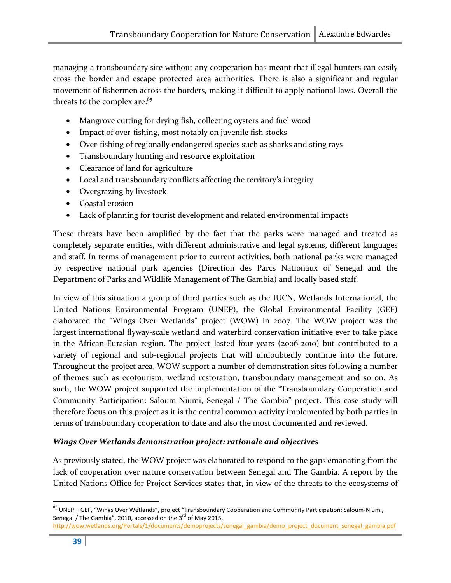managing a transboundary site without any cooperation has meant that illegal hunters can easily cross the border and escape protected area authorities. There is also a significant and regular movement of fishermen across the borders, making it difficult to apply national laws. Overall the threats to the complex are:<sup>85</sup>

- Mangrove cutting for drying fish, collecting oysters and fuel wood
- Impact of over-fishing, most notably on juvenile fish stocks
- Over-fishing of regionally endangered species such as sharks and sting rays
- Transboundary hunting and resource exploitation
- Clearance of land for agriculture
- Local and transboundary conflicts affecting the territory's integrity
- Overgrazing by livestock
- Coastal erosion
- Lack of planning for tourist development and related environmental impacts

These threats have been amplified by the fact that the parks were managed and treated as completely separate entities, with different administrative and legal systems, different languages and staff. In terms of management prior to current activities, both national parks were managed by respective national park agencies (Direction des Parcs Nationaux of Senegal and the Department of Parks and Wildlife Management of The Gambia) and locally based staff.

In view of this situation a group of third parties such as the IUCN, Wetlands International, the United Nations Environmental Program (UNEP), the Global Environmental Facility (GEF) elaborated the "Wings Over Wetlands" project (WOW) in 2007. The WOW project was the largest international flyway-scale wetland and waterbird conservation initiative ever to take place in the African-Eurasian region. The project lasted four years (2006-2010) but contributed to a variety of regional and sub-regional projects that will undoubtedly continue into the future. Throughout the project area, WOW support a number of demonstration sites following a number of themes such as ecotourism, wetland restoration, transboundary management and so on. As such, the WOW project supported the implementation of the "Transboundary Cooperation and Community Participation: Saloum-Niumi, Senegal / The Gambia" project. This case study will therefore focus on this project as it is the central common activity implemented by both parties in terms of transboundary cooperation to date and also the most documented and reviewed.

#### Wings Over Wetlands demonstration project: rationale and objectives

As previously stated, the WOW project was elaborated to respond to the gaps emanating from the lack of cooperation over nature conservation between Senegal and The Gambia. A report by the United Nations Office for Project Services states that, in view of the threats to the ecosystems of

<u>.</u> <sup>85</sup> UNEP – GEF, "Wings Over Wetlands", project "Transboundary Cooperation and Community Participation: Saloum-Niumi, Senegal / The Gambia", 2010, accessed on the 3<sup>rd</sup> of May 2015,

http://wow.wetlands.org/Portals/1/documents/demoprojects/senegal\_gambia/demo\_project\_document\_senegal\_gambia.pdf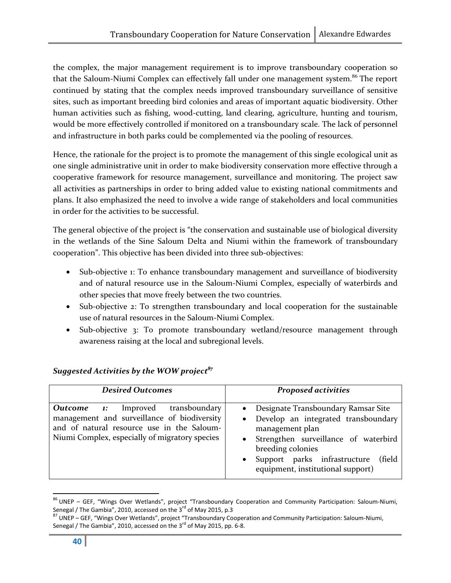the complex, the major management requirement is to improve transboundary cooperation so that the Saloum-Niumi Complex can effectively fall under one management system.<sup>86</sup> The report continued by stating that the complex needs improved transboundary surveillance of sensitive sites, such as important breeding bird colonies and areas of important aquatic biodiversity. Other human activities such as fishing, wood-cutting, land clearing, agriculture, hunting and tourism, would be more effectively controlled if monitored on a transboundary scale. The lack of personnel and infrastructure in both parks could be complemented via the pooling of resources.

Hence, the rationale for the project is to promote the management of this single ecological unit as one single administrative unit in order to make biodiversity conservation more effective through a cooperative framework for resource management, surveillance and monitoring. The project saw all activities as partnerships in order to bring added value to existing national commitments and plans. It also emphasized the need to involve a wide range of stakeholders and local communities in order for the activities to be successful.

The general objective of the project is "the conservation and sustainable use of biological diversity in the wetlands of the Sine Saloum Delta and Niumi within the framework of transboundary cooperation". This objective has been divided into three sub-objectives:

- Sub-objective 1: To enhance transboundary management and surveillance of biodiversity and of natural resource use in the Saloum-Niumi Complex, especially of waterbirds and other species that move freely between the two countries.
- Sub-objective 2: To strengthen transboundary and local cooperation for the sustainable use of natural resources in the Saloum-Niumi Complex.
- Sub-objective 3: To promote transboundary wetland/resource management through awareness raising at the local and subregional levels.

| <b>Desired Outcomes</b>                                                                                                                                                                 | <b>Proposed activities</b>                                                                                                                                                                                                                                    |  |
|-----------------------------------------------------------------------------------------------------------------------------------------------------------------------------------------|---------------------------------------------------------------------------------------------------------------------------------------------------------------------------------------------------------------------------------------------------------------|--|
| <b>Outcome 1:</b> Improved transboundary<br>management and surveillance of biodiversity<br>and of natural resource use in the Saloum-<br>Niumi Complex, especially of migratory species | • Designate Transboundary Ramsar Site<br>• Develop an integrated transboundary<br>management plan<br>• Strengthen surveillance of waterbird<br>breeding colonies<br>Support parks infrastructure<br>(field)<br>$\bullet$<br>equipment, institutional support) |  |

## Suggested Activities by the WOW project<sup>87</sup>

<sup>&</sup>lt;u>.</u> <sup>86</sup> UNEP – GEF, "Wings Over Wetlands", project "Transboundary Cooperation and Community Participation: Saloum-Niumi, Senegal / The Gambia", 2010, accessed on the 3 $^{rd}$  of May 2015, p.3

<sup>87</sup> UNEP – GEF, "Wings Over Wetlands", project "Transboundary Cooperation and Community Participation: Saloum-Niumi, Senegal / The Gambia", 2010, accessed on the  $3^{rd}$  of May 2015, pp. 6-8.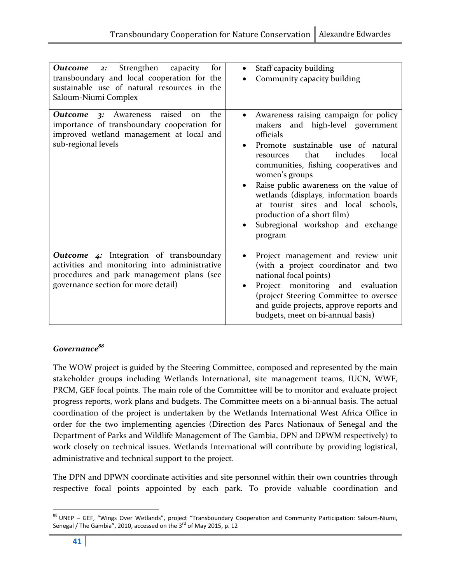| Strengthen capacity<br>for<br>Outcome<br>2:<br>transboundary and local cooperation for the<br>sustainable use of natural resources in the<br>Saloum-Niumi Complex                   | Staff capacity building<br>$\bullet$<br>Community capacity building                                                                                                                                                                                                                                                                                                                                                                                      |
|-------------------------------------------------------------------------------------------------------------------------------------------------------------------------------------|----------------------------------------------------------------------------------------------------------------------------------------------------------------------------------------------------------------------------------------------------------------------------------------------------------------------------------------------------------------------------------------------------------------------------------------------------------|
| <b>Outcome 3:</b> Awareness raised<br>the<br>on<br>importance of transboundary cooperation for<br>improved wetland management at local and<br>sub-regional levels                   | Awareness raising campaign for policy<br>makers and high-level government<br>officials<br>Promote sustainable use of natural<br>includes<br>that<br>local<br>resources<br>communities, fishing cooperatives and<br>women's groups<br>Raise public awareness on the value of<br>$\bullet$<br>wetlands (displays, information boards<br>at tourist sites and local schools,<br>production of a short film)<br>Subregional workshop and exchange<br>program |
| <b>Outcome 4:</b> Integration of transboundary<br>activities and monitoring into administrative<br>procedures and park management plans (see<br>governance section for more detail) | Project management and review unit<br>(with a project coordinator and two<br>national focal points)<br>Project monitoring and evaluation<br>(project Steering Committee to oversee<br>and guide projects, approve reports and<br>budgets, meet on bi-annual basis)                                                                                                                                                                                       |

#### Governance<sup>88</sup>

The WOW project is guided by the Steering Committee, composed and represented by the main stakeholder groups including Wetlands International, site management teams, IUCN, WWF, PRCM, GEF focal points. The main role of the Committee will be to monitor and evaluate project progress reports, work plans and budgets. The Committee meets on a bi-annual basis. The actual coordination of the project is undertaken by the Wetlands International West Africa Office in order for the two implementing agencies (Direction des Parcs Nationaux of Senegal and the Department of Parks and Wildlife Management of The Gambia, DPN and DPWM respectively) to work closely on technical issues. Wetlands International will contribute by providing logistical, administrative and technical support to the project.

The DPN and DPWN coordinate activities and site personnel within their own countries through respective focal points appointed by each park. To provide valuable coordination and

<sup>88</sup> UNEP - GEF, "Wings Over Wetlands", project "Transboundary Cooperation and Community Participation: Saloum-Niumi, Senegal / The Gambia", 2010, accessed on the 3<sup>rd</sup> of May 2015, p. 12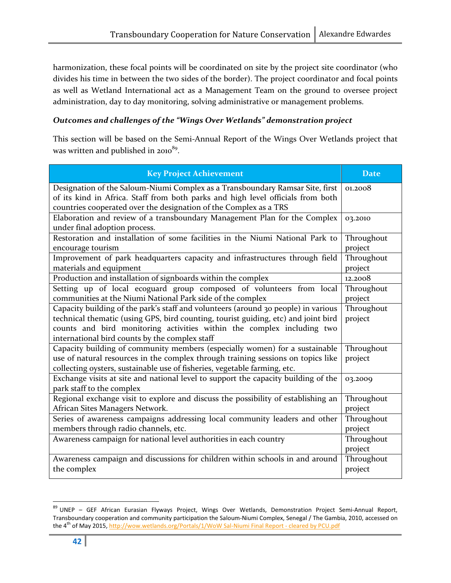harmonization, these focal points will be coordinated on site by the project site coordinator (who divides his time in between the two sides of the border). The project coordinator and focal points as well as Wetland International act as a Management Team on the ground to oversee project administration, day to day monitoring, solving administrative or management problems.

#### Outcomes and challenges of the "Wings Over Wetlands" demonstration project

This section will be based on the Semi-Annual Report of the Wings Over Wetlands project that was written and published in 2010<sup>89</sup>.

| <b>Key Project Achievement</b>                                                                             | <b>Date</b> |
|------------------------------------------------------------------------------------------------------------|-------------|
| Designation of the Saloum-Niumi Complex as a Transboundary Ramsar Site, first                              | 01.2008     |
| of its kind in Africa. Staff from both parks and high level officials from both                            |             |
| countries cooperated over the designation of the Complex as a TRS                                          |             |
| Elaboration and review of a transboundary Management Plan for the Complex<br>under final adoption process. | 03.2010     |
| Restoration and installation of some facilities in the Niumi National Park to                              | Throughout  |
| encourage tourism                                                                                          | project     |
| Improvement of park headquarters capacity and infrastructures through field                                | Throughout  |
| materials and equipment                                                                                    | project     |
| Production and installation of signboards within the complex                                               | 12.2008     |
| Setting up of local ecoguard group composed of volunteers from local                                       | Throughout  |
| communities at the Niumi National Park side of the complex                                                 | project     |
| Capacity building of the park's staff and volunteers (around 30 people) in various                         | Throughout  |
| technical thematic (using GPS, bird counting, tourist guiding, etc) and joint bird                         | project     |
| counts and bird monitoring activities within the complex including two                                     |             |
| international bird counts by the complex staff                                                             |             |
| Capacity building of community members (especially women) for a sustainable                                | Throughout  |
| use of natural resources in the complex through training sessions on topics like                           | project     |
| collecting oysters, sustainable use of fisheries, vegetable farming, etc.                                  |             |
| Exchange visits at site and national level to support the capacity building of the                         | 03.2009     |
| park staff to the complex                                                                                  |             |
| Regional exchange visit to explore and discuss the possibility of establishing an                          | Throughout  |
| African Sites Managers Network.                                                                            | project     |
| Series of awareness campaigns addressing local community leaders and other                                 | Throughout  |
| members through radio channels, etc.                                                                       | project     |
| Awareness campaign for national level authorities in each country                                          | Throughout  |
|                                                                                                            | project     |
| Awareness campaign and discussions for children within schools in and around                               | Throughout  |
| the complex                                                                                                | project     |

<sup>&</sup>lt;u>.</u> 89 UNEP – GEF African Eurasian Flyways Project, Wings Over Wetlands, Demonstration Project Semi-Annual Report, Transboundary cooperation and community participation the Saloum-Niumi Complex, Senegal / The Gambia, 2010, accessed on the 4<sup>th</sup> of May 2015, http://wow.wetlands.org/Portals/1/WoW Sal-Niumi Final Report - cleared by PCU.pdf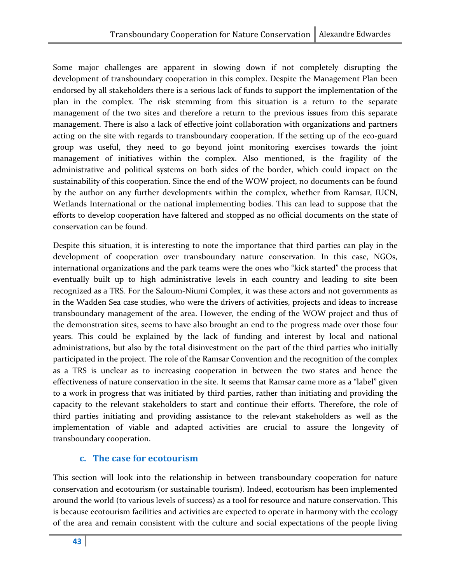Some major challenges are apparent in slowing down if not completely disrupting the development of transboundary cooperation in this complex. Despite the Management Plan been endorsed by all stakeholders there is a serious lack of funds to support the implementation of the plan in the complex. The risk stemming from this situation is a return to the separate management of the two sites and therefore a return to the previous issues from this separate management. There is also a lack of effective joint collaboration with organizations and partners acting on the site with regards to transboundary cooperation. If the setting up of the eco-guard group was useful, they need to go beyond joint monitoring exercises towards the joint management of initiatives within the complex. Also mentioned, is the fragility of the administrative and political systems on both sides of the border, which could impact on the sustainability of this cooperation. Since the end of the WOW project, no documents can be found by the author on any further developments within the complex, whether from Ramsar, IUCN, Wetlands International or the national implementing bodies. This can lead to suppose that the efforts to develop cooperation have faltered and stopped as no official documents on the state of conservation can be found.

Despite this situation, it is interesting to note the importance that third parties can play in the development of cooperation over transboundary nature conservation. In this case, NGOs, international organizations and the park teams were the ones who "kick started" the process that eventually built up to high administrative levels in each country and leading to site been recognized as a TRS. For the Saloum-Niumi Complex, it was these actors and not governments as in the Wadden Sea case studies, who were the drivers of activities, projects and ideas to increase transboundary management of the area. However, the ending of the WOW project and thus of the demonstration sites, seems to have also brought an end to the progress made over those four years. This could be explained by the lack of funding and interest by local and national administrations, but also by the total disinvestment on the part of the third parties who initially participated in the project. The role of the Ramsar Convention and the recognition of the complex as a TRS is unclear as to increasing cooperation in between the two states and hence the effectiveness of nature conservation in the site. It seems that Ramsar came more as a "label" given to a work in progress that was initiated by third parties, rather than initiating and providing the capacity to the relevant stakeholders to start and continue their efforts. Therefore, the role of third parties initiating and providing assistance to the relevant stakeholders as well as the implementation of viable and adapted activities are crucial to assure the longevity of transboundary cooperation.

## c. The case for ecotourism

This section will look into the relationship in between transboundary cooperation for nature conservation and ecotourism (or sustainable tourism). Indeed, ecotourism has been implemented around the world (to various levels of success) as a tool for resource and nature conservation. This is because ecotourism facilities and activities are expected to operate in harmony with the ecology of the area and remain consistent with the culture and social expectations of the people living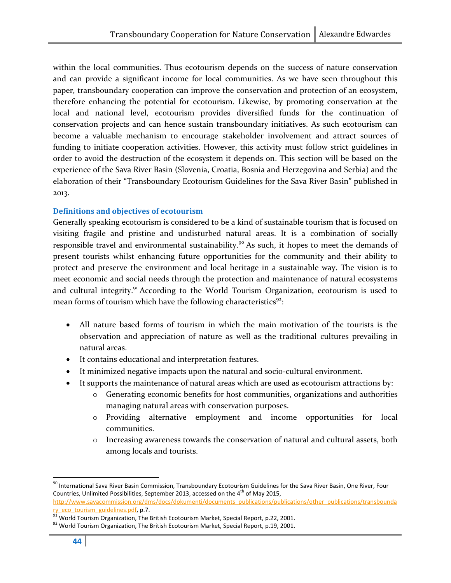within the local communities. Thus ecotourism depends on the success of nature conservation and can provide a significant income for local communities. As we have seen throughout this paper, transboundary cooperation can improve the conservation and protection of an ecosystem, therefore enhancing the potential for ecotourism. Likewise, by promoting conservation at the local and national level, ecotourism provides diversified funds for the continuation of conservation projects and can hence sustain transboundary initiatives. As such ecotourism can become a valuable mechanism to encourage stakeholder involvement and attract sources of funding to initiate cooperation activities. However, this activity must follow strict guidelines in order to avoid the destruction of the ecosystem it depends on. This section will be based on the experience of the Sava River Basin (Slovenia, Croatia, Bosnia and Herzegovina and Serbia) and the elaboration of their "Transboundary Ecotourism Guidelines for the Sava River Basin" published in 2013.

#### Definitions and objectives of ecotourism

Generally speaking ecotourism is considered to be a kind of sustainable tourism that is focused on visiting fragile and pristine and undisturbed natural areas. It is a combination of socially responsible travel and environmental sustainability.<sup>90</sup> As such, it hopes to meet the demands of present tourists whilst enhancing future opportunities for the community and their ability to protect and preserve the environment and local heritage in a sustainable way. The vision is to meet economic and social needs through the protection and maintenance of natural ecosystems and cultural integrity.<sup>91</sup> According to the World Tourism Organization, ecotourism is used to mean forms of tourism which have the following characteristics<sup>92</sup>:

- All nature based forms of tourism in which the main motivation of the tourists is the observation and appreciation of nature as well as the traditional cultures prevailing in natural areas.
- It contains educational and interpretation features.
- It minimized negative impacts upon the natural and socio-cultural environment.
- It supports the maintenance of natural areas which are used as ecotourism attractions by:
	- o Generating economic benefits for host communities, organizations and authorities managing natural areas with conservation purposes.
	- o Providing alternative employment and income opportunities for local communities.
	- o Increasing awareness towards the conservation of natural and cultural assets, both among locals and tourists.

<sup>&</sup>lt;sup>90</sup> International Sava River Basin Commission, Transboundary Ecotourism Guidelines for the Sava River Basin, One River, Four Countries, Unlimited Possibilities, September 2013, accessed on the  $4<sup>th</sup>$  of May 2015,

http://www.savacommission.org/dms/docs/dokumenti/documents\_publications/publications/other\_publications/transbounda <mark>ry\_eco\_tourism\_guidelines.pdf</mark>, p.7.<br><sup>91</sup> World Tourism Organization, The British Ecotourism Market, Special Report, p.22, 2001.

 $92$  World Tourism Organization, The British Ecotourism Market, Special Report, p.19, 2001.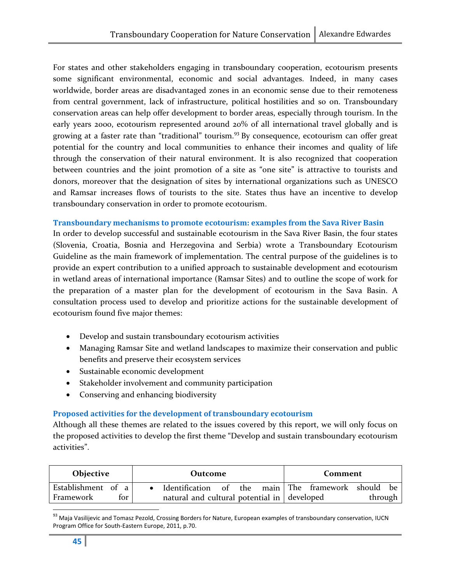For states and other stakeholders engaging in transboundary cooperation, ecotourism presents some significant environmental, economic and social advantages. Indeed, in many cases worldwide, border areas are disadvantaged zones in an economic sense due to their remoteness from central government, lack of infrastructure, political hostilities and so on. Transboundary conservation areas can help offer development to border areas, especially through tourism. In the early years 2000, ecotourism represented around 20% of all international travel globally and is growing at a faster rate than "traditional" tourism.<sup>93</sup> By consequence, ecotourism can offer great potential for the country and local communities to enhance their incomes and quality of life through the conservation of their natural environment. It is also recognized that cooperation between countries and the joint promotion of a site as "one site" is attractive to tourists and donors, moreover that the designation of sites by international organizations such as UNESCO and Ramsar increases flows of tourists to the site. States thus have an incentive to develop transboundary conservation in order to promote ecotourism.

#### Transboundary mechanisms to promote ecotourism: examples from the Sava River Basin

In order to develop successful and sustainable ecotourism in the Sava River Basin, the four states (Slovenia, Croatia, Bosnia and Herzegovina and Serbia) wrote a Transboundary Ecotourism Guideline as the main framework of implementation. The central purpose of the guidelines is to provide an expert contribution to a unified approach to sustainable development and ecotourism in wetland areas of international importance (Ramsar Sites) and to outline the scope of work for the preparation of a master plan for the development of ecotourism in the Sava Basin. A consultation process used to develop and prioritize actions for the sustainable development of ecotourism found five major themes:

- Develop and sustain transboundary ecotourism activities
- Managing Ramsar Site and wetland landscapes to maximize their conservation and public benefits and preserve their ecosystem services
- Sustainable economic development
- Stakeholder involvement and community participation
- Conserving and enhancing biodiversity

#### Proposed activities for the development of transboundary ecotourism

Although all these themes are related to the issues covered by this report, we will only focus on the proposed activities to develop the first theme "Develop and sustain transboundary ecotourism activities".

| Objective          | Outcome                                            |  |  | Comment |  |  |  |                 |
|--------------------|----------------------------------------------------|--|--|---------|--|--|--|-----------------|
| Establishment of a | Identification of the main The framework should be |  |  |         |  |  |  |                 |
| for<br>Framework   | natural and cultural potential in developed        |  |  |         |  |  |  | through $\vert$ |

<sup>93</sup> Maja Vasilijevic and Tomasz Pezold, Crossing Borders for Nature, European examples of transboundary conservation, IUCN Program Office for South-Eastern Europe, 2011, p.70.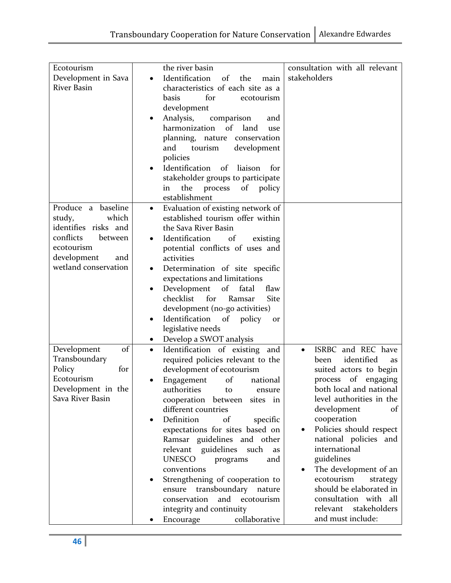|                      | the river basin                                  |                                 |
|----------------------|--------------------------------------------------|---------------------------------|
| Ecotourism           |                                                  | consultation with all relevant  |
| Development in Sava  | Identification<br>of<br>the<br>main<br>$\bullet$ | stakeholders                    |
| <b>River Basin</b>   | characteristics of each site as a                |                                 |
|                      | for<br>basis<br>ecotourism                       |                                 |
|                      | development                                      |                                 |
|                      | Analysis,<br>comparison<br>$\bullet$<br>and      |                                 |
|                      | harmonization of land<br>use                     |                                 |
|                      | planning, nature conservation                    |                                 |
|                      | tourism<br>development<br>and                    |                                 |
|                      | policies                                         |                                 |
|                      |                                                  |                                 |
|                      | Identification of liaison<br>for                 |                                 |
|                      | stakeholder groups to participate                |                                 |
|                      | the process<br>of policy<br>in.                  |                                 |
|                      | establishment                                    |                                 |
| Produce a baseline   | Evaluation of existing network of<br>$\bullet$   |                                 |
| which<br>study,      | established tourism offer within                 |                                 |
| identifies risks and | the Sava River Basin                             |                                 |
| conflicts<br>between | Identification of<br>existing<br>$\bullet$       |                                 |
| ecotourism           | potential conflicts of uses and                  |                                 |
| development<br>and   | activities                                       |                                 |
| wetland conservation | Determination of site specific<br>$\bullet$      |                                 |
|                      |                                                  |                                 |
|                      | expectations and limitations                     |                                 |
|                      | Development of fatal<br>flaw                     |                                 |
|                      | for<br>checklist<br>Ramsar<br>Site               |                                 |
|                      | development (no-go activities)                   |                                 |
|                      | Identification of policy<br>or                   |                                 |
|                      | legislative needs                                |                                 |
|                      | Develop a SWOT analysis<br>$\bullet$             |                                 |
| Development<br>of    | Identification of existing and<br>$\bullet$      | ISRBC and REC have<br>$\bullet$ |
| Transboundary        | required policies relevant to the                | identified<br>been<br>as        |
| Policy<br>for        | development of ecotourism                        | suited actors to begin          |
| Ecotourism           | Engagement<br>of<br>national                     | process of engaging             |
| Development in the   | authorities<br>to<br>ensure                      | both local and national         |
| Sava River Basin     | cooperation between sites in                     | level authorities in the        |
|                      | different countries                              | development<br>of               |
|                      | Definition<br>of<br>specific<br>$\bullet$        | cooperation                     |
|                      |                                                  | Policies should respect         |
|                      | expectations for sites based on                  |                                 |
|                      | Ramsar guidelines and other                      | national policies and           |
|                      | relevant guidelines<br>such<br>as                | international                   |
|                      | <b>UNESCO</b><br>programs<br>and                 | guidelines                      |
|                      | conventions                                      | The development of an           |
|                      | Strengthening of cooperation to                  | ecotourism<br>strategy          |
|                      | transboundary<br>ensure<br>nature                | should be elaborated in         |
|                      | conservation<br>and<br>ecotourism                | consultation with all           |
|                      | integrity and continuity                         | relevant stakeholders           |
|                      | collaborative<br>Encourage                       | and must include:               |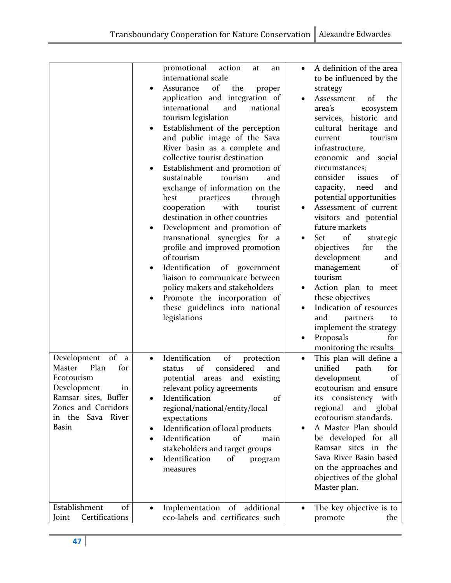|                                                                                                                                                                         | promotional<br>action<br>at<br>an<br>international scale<br>of<br>the<br>Assurance<br>proper<br>application and integration of<br>international<br>and<br>national<br>tourism legislation<br>Establishment of the perception<br>$\bullet$<br>and public image of the Sava<br>River basin as a complete and<br>collective tourist destination<br>Establishment and promotion of<br>٠<br>sustainable<br>tourism<br>and<br>exchange of information on the<br>practices<br>through<br>best<br>cooperation<br>with<br>tourist<br>destination in other countries<br>Development and promotion of<br>transnational<br>synergies for a<br>profile and improved promotion<br>of tourism<br>Identification<br>of government<br>liaison to communicate between<br>policy makers and stakeholders<br>Promote the incorporation of<br>these guidelines into national<br>legislations | A definition of the area<br>to be influenced by the<br>strategy<br>Assessment<br>of<br>the<br>area's<br>ecosystem<br>services, historic and<br>cultural heritage and<br>tourism<br>current<br>infrastructure,<br>economic and social<br>circumstances;<br>consider<br>issues<br>of<br>capacity,<br>need<br>and<br>potential opportunities<br>Assessment of current<br>visitors and potential<br>future markets<br>Set<br>of<br>strategic<br>objectives<br>the<br>for<br>development<br>and<br>management<br>of<br>tourism<br>Action plan to meet<br>these objectives<br>Indication of resources<br>and<br>partners<br>to<br>implement the strategy<br>Proposals<br>for |
|-------------------------------------------------------------------------------------------------------------------------------------------------------------------------|-------------------------------------------------------------------------------------------------------------------------------------------------------------------------------------------------------------------------------------------------------------------------------------------------------------------------------------------------------------------------------------------------------------------------------------------------------------------------------------------------------------------------------------------------------------------------------------------------------------------------------------------------------------------------------------------------------------------------------------------------------------------------------------------------------------------------------------------------------------------------|------------------------------------------------------------------------------------------------------------------------------------------------------------------------------------------------------------------------------------------------------------------------------------------------------------------------------------------------------------------------------------------------------------------------------------------------------------------------------------------------------------------------------------------------------------------------------------------------------------------------------------------------------------------------|
| Development of a<br>Plan<br><b>Master</b><br>for<br>Ecotourism<br>Development<br>ın<br>Ramsar sites, Buffer<br>Zones and Corridors<br>in the Sava River<br><b>Basin</b> | $% \left( \left( \mathcal{A},\mathcal{A}\right) \right) =\left( \mathcal{A},\mathcal{A}\right)$ of<br>Identification<br>protection<br>$\bullet$<br>of<br>considered<br>status<br>and<br>and existing<br>potential areas<br>relevant policy agreements<br>of<br>Identification<br>regional/national/entity/local<br>expectations<br>Identification of local products<br>Identification<br>of<br>main<br>stakeholders and target groups<br>Identification<br>of<br>program<br>measures                                                                                                                                                                                                                                                                                                                                                                                    | monitoring the results<br>This plan will define a<br>unified<br>path<br>for<br>development<br>of<br>ecotourism and ensure<br>its consistency with<br>regional and global<br>ecotourism standards.<br>A Master Plan should<br>be developed for all<br>Ramsar sites in the<br>Sava River Basin based<br>on the approaches and<br>objectives of the global<br>Master plan.                                                                                                                                                                                                                                                                                                |
| Establishment<br>of<br>Certifications<br>Joint                                                                                                                          | Implementation of additional<br>eco-labels and certificates such                                                                                                                                                                                                                                                                                                                                                                                                                                                                                                                                                                                                                                                                                                                                                                                                        | The key objective is to<br>promote<br>the                                                                                                                                                                                                                                                                                                                                                                                                                                                                                                                                                                                                                              |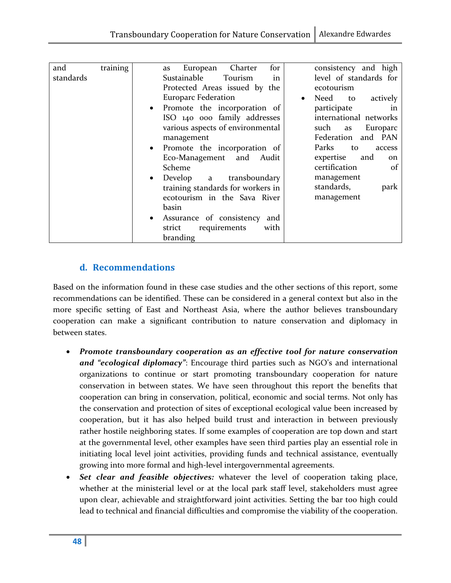| and       | training | European Charter<br>for<br>as             | consistency and high                |
|-----------|----------|-------------------------------------------|-------------------------------------|
| standards |          | Sustainable<br>Tourism<br>in              | level of standards for              |
|           |          | Protected Areas issued by the             | ecotourism                          |
|           |          | <b>Europarc Federation</b>                | Need<br>actively<br>to<br>$\bullet$ |
|           |          | Promote the incorporation of<br>$\bullet$ | participate<br>1n                   |
|           |          | ISO 140 000 family addresses              | international networks              |
|           |          | various aspects of environmental          | such<br>Europarc<br>as              |
|           |          | management                                | Federation and PAN                  |
|           |          | • Promote the incorporation of            | Parks<br>to<br>access               |
|           |          | Eco-Management and<br>Audit               | expertise<br>and<br>on              |
|           |          |                                           | certification                       |
|           |          | Scheme                                    | -of                                 |
|           |          | Develop a<br>transboundary<br>$\bullet$   | management                          |
|           |          | training standards for workers in         | standards,<br>park                  |
|           |          | ecotourism in the Sava River              | management                          |
|           |          | basin                                     |                                     |
|           |          | Assurance of consistency and<br>$\bullet$ |                                     |
|           |          | with<br>strict<br>requirements            |                                     |
|           |          | branding                                  |                                     |
|           |          |                                           |                                     |

## d. Recommendations

Based on the information found in these case studies and the other sections of this report, some recommendations can be identified. These can be considered in a general context but also in the more specific setting of East and Northeast Asia, where the author believes transboundary cooperation can make a significant contribution to nature conservation and diplomacy in between states.

- Promote transboundary cooperation as an effective tool for nature conservation and "ecological diplomacy": Encourage third parties such as NGO's and international organizations to continue or start promoting transboundary cooperation for nature conservation in between states. We have seen throughout this report the benefits that cooperation can bring in conservation, political, economic and social terms. Not only has the conservation and protection of sites of exceptional ecological value been increased by cooperation, but it has also helped build trust and interaction in between previously rather hostile neighboring states. If some examples of cooperation are top down and start at the governmental level, other examples have seen third parties play an essential role in initiating local level joint activities, providing funds and technical assistance, eventually growing into more formal and high-level intergovernmental agreements.
- **Set clear and feasible objectives:** whatever the level of cooperation taking place, whether at the ministerial level or at the local park staff level, stakeholders must agree upon clear, achievable and straightforward joint activities. Setting the bar too high could lead to technical and financial difficulties and compromise the viability of the cooperation.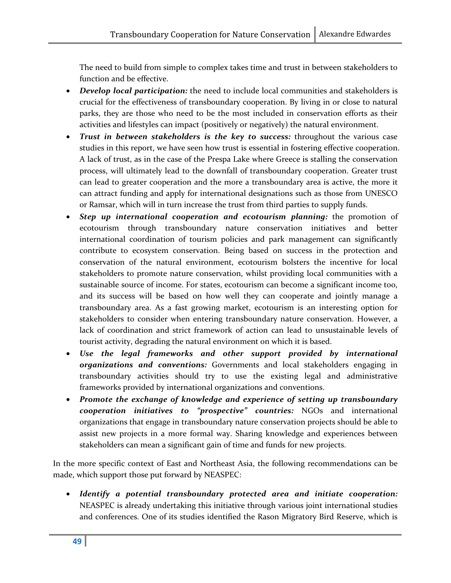The need to build from simple to complex takes time and trust in between stakeholders to function and be effective.

- Develop local participation: the need to include local communities and stakeholders is crucial for the effectiveness of transboundary cooperation. By living in or close to natural parks, they are those who need to be the most included in conservation efforts as their activities and lifestyles can impact (positively or negatively) the natural environment.
- **Trust in between stakeholders is the key to success:** throughout the various case studies in this report, we have seen how trust is essential in fostering effective cooperation. A lack of trust, as in the case of the Prespa Lake where Greece is stalling the conservation process, will ultimately lead to the downfall of transboundary cooperation. Greater trust can lead to greater cooperation and the more a transboundary area is active, the more it can attract funding and apply for international designations such as those from UNESCO or Ramsar, which will in turn increase the trust from third parties to supply funds.
- Step up international cooperation and ecotourism planning: the promotion of ecotourism through transboundary nature conservation initiatives and better international coordination of tourism policies and park management can significantly contribute to ecosystem conservation. Being based on success in the protection and conservation of the natural environment, ecotourism bolsters the incentive for local stakeholders to promote nature conservation, whilst providing local communities with a sustainable source of income. For states, ecotourism can become a significant income too, and its success will be based on how well they can cooperate and jointly manage a transboundary area. As a fast growing market, ecotourism is an interesting option for stakeholders to consider when entering transboundary nature conservation. However, a lack of coordination and strict framework of action can lead to unsustainable levels of tourist activity, degrading the natural environment on which it is based.
- Use the legal frameworks and other support provided by international organizations and conventions: Governments and local stakeholders engaging in transboundary activities should try to use the existing legal and administrative frameworks provided by international organizations and conventions.
- Promote the exchange of knowledge and experience of setting up transboundary cooperation initiatives to "prospective" countries: NGOs and international organizations that engage in transboundary nature conservation projects should be able to assist new projects in a more formal way. Sharing knowledge and experiences between stakeholders can mean a significant gain of time and funds for new projects.

In the more specific context of East and Northeast Asia, the following recommendations can be made, which support those put forward by NEASPEC:

Identify a potential transboundary protected area and initiate cooperation: NEASPEC is already undertaking this initiative through various joint international studies and conferences. One of its studies identified the Rason Migratory Bird Reserve, which is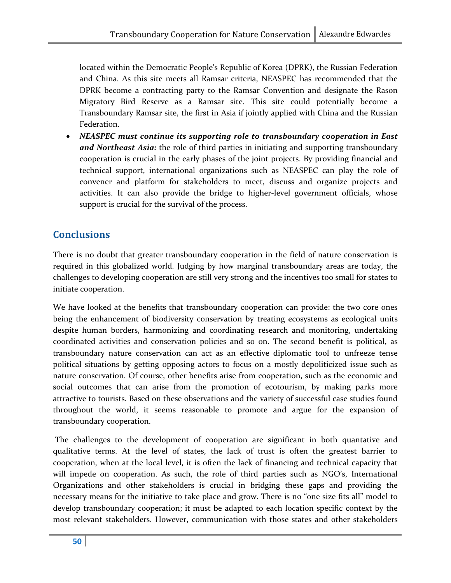located within the Democratic People's Republic of Korea (DPRK), the Russian Federation and China. As this site meets all Ramsar criteria, NEASPEC has recommended that the DPRK become a contracting party to the Ramsar Convention and designate the Rason Migratory Bird Reserve as a Ramsar site. This site could potentially become a Transboundary Ramsar site, the first in Asia if jointly applied with China and the Russian Federation.

• NEASPEC must continue its supporting role to transboundary cooperation in East and Northeast Asia: the role of third parties in initiating and supporting transboundary cooperation is crucial in the early phases of the joint projects. By providing financial and technical support, international organizations such as NEASPEC can play the role of convener and platform for stakeholders to meet, discuss and organize projects and activities. It can also provide the bridge to higher-level government officials, whose support is crucial for the survival of the process.

## **Conclusions**

There is no doubt that greater transboundary cooperation in the field of nature conservation is required in this globalized world. Judging by how marginal transboundary areas are today, the challenges to developing cooperation are still very strong and the incentives too small for states to initiate cooperation.

We have looked at the benefits that transboundary cooperation can provide: the two core ones being the enhancement of biodiversity conservation by treating ecosystems as ecological units despite human borders, harmonizing and coordinating research and monitoring, undertaking coordinated activities and conservation policies and so on. The second benefit is political, as transboundary nature conservation can act as an effective diplomatic tool to unfreeze tense political situations by getting opposing actors to focus on a mostly depoliticized issue such as nature conservation. Of course, other benefits arise from cooperation, such as the economic and social outcomes that can arise from the promotion of ecotourism, by making parks more attractive to tourists. Based on these observations and the variety of successful case studies found throughout the world, it seems reasonable to promote and argue for the expansion of transboundary cooperation.

 The challenges to the development of cooperation are significant in both quantative and qualitative terms. At the level of states, the lack of trust is often the greatest barrier to cooperation, when at the local level, it is often the lack of financing and technical capacity that will impede on cooperation. As such, the role of third parties such as NGO's, International Organizations and other stakeholders is crucial in bridging these gaps and providing the necessary means for the initiative to take place and grow. There is no "one size fits all" model to develop transboundary cooperation; it must be adapted to each location specific context by the most relevant stakeholders. However, communication with those states and other stakeholders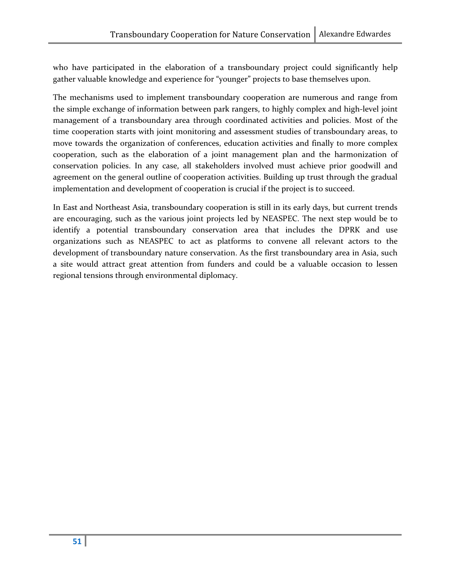who have participated in the elaboration of a transboundary project could significantly help gather valuable knowledge and experience for "younger" projects to base themselves upon.

The mechanisms used to implement transboundary cooperation are numerous and range from the simple exchange of information between park rangers, to highly complex and high-level joint management of a transboundary area through coordinated activities and policies. Most of the time cooperation starts with joint monitoring and assessment studies of transboundary areas, to move towards the organization of conferences, education activities and finally to more complex cooperation, such as the elaboration of a joint management plan and the harmonization of conservation policies. In any case, all stakeholders involved must achieve prior goodwill and agreement on the general outline of cooperation activities. Building up trust through the gradual implementation and development of cooperation is crucial if the project is to succeed.

In East and Northeast Asia, transboundary cooperation is still in its early days, but current trends are encouraging, such as the various joint projects led by NEASPEC. The next step would be to identify a potential transboundary conservation area that includes the DPRK and use organizations such as NEASPEC to act as platforms to convene all relevant actors to the development of transboundary nature conservation. As the first transboundary area in Asia, such a site would attract great attention from funders and could be a valuable occasion to lessen regional tensions through environmental diplomacy.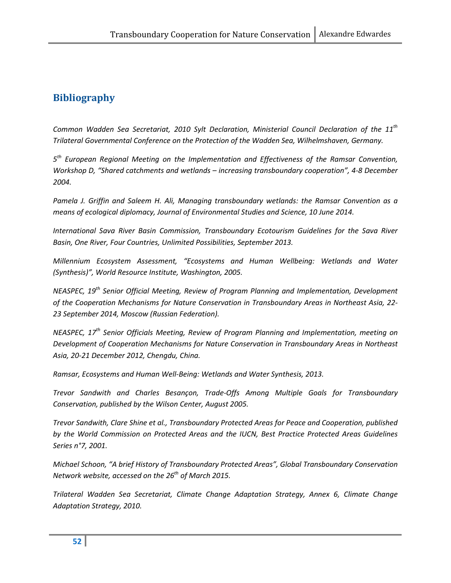## Bibliography

Common Wadden Sea Secretariat, 2010 Sylt Declaration, Ministerial Council Declaration of the 11<sup>th</sup> Trilateral Governmental Conference on the Protection of the Wadden Sea, Wilhelmshaven, Germany.

5<sup>th</sup> European Regional Meeting on the Implementation and Effectiveness of the Ramsar Convention, Workshop D, "Shared catchments and wetlands – increasing transboundary cooperation", 4-8 December 2004.

Pamela J. Griffin and Saleem H. Ali, Managing transboundary wetlands: the Ramsar Convention as a means of ecological diplomacy, Journal of Environmental Studies and Science, 10 June 2014.

International Sava River Basin Commission, Transboundary Ecotourism Guidelines for the Sava River Basin, One River, Four Countries, Unlimited Possibilities, September 2013.

Millennium Ecosystem Assessment, "Ecosystems and Human Wellbeing: Wetlands and Water (Synthesis)", World Resource Institute, Washington, 2005.

NEASPEC, 19<sup>th</sup> Senior Official Meeting, Review of Program Planning and Implementation, Development of the Cooperation Mechanisms for Nature Conservation in Transboundary Areas in Northeast Asia, 22- 23 September 2014, Moscow (Russian Federation).

NEASPEC, 17<sup>th</sup> Senior Officials Meeting, Review of Program Planning and Implementation, meeting on Development of Cooperation Mechanisms for Nature Conservation in Transboundary Areas in Northeast Asia, 20-21 December 2012, Chengdu, China.

Ramsar, Ecosystems and Human Well-Being: Wetlands and Water Synthesis, 2013.

Trevor Sandwith and Charles Besançon, Trade-Offs Among Multiple Goals for Transboundary Conservation, published by the Wilson Center, August 2005.

Trevor Sandwith, Clare Shine et al., Transboundary Protected Areas for Peace and Cooperation, published by the World Commission on Protected Areas and the IUCN, Best Practice Protected Areas Guidelines Series n°7, 2001.

Michael Schoon, "A brief History of Transboundary Protected Areas", Global Transboundary Conservation Network website, accessed on the  $26<sup>th</sup>$  of March 2015.

Trilateral Wadden Sea Secretariat, Climate Change Adaptation Strategy, Annex 6, Climate Change Adaptation Strategy, 2010.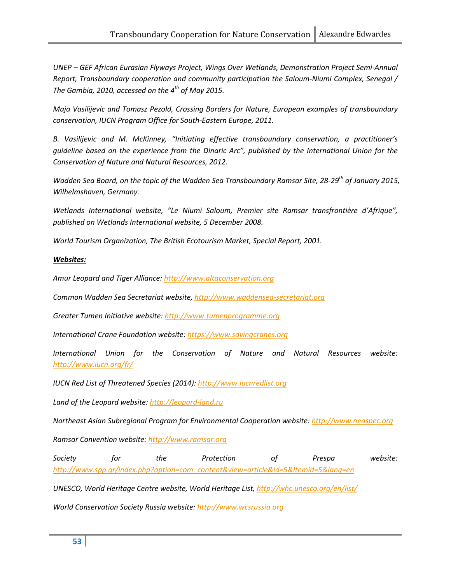UNEP – GEF African Eurasian Flyways Project, Wings Over Wetlands, Demonstration Project Semi-Annual Report, Transboundary cooperation and community participation the Saloum-Niumi Complex, Senegal / The Gambia, 2010, accessed on the  $4^{th}$  of May 2015.

Maja Vasilijevic and Tomasz Pezold, Crossing Borders for Nature, European examples of transboundary conservation, IUCN Program Office for South-Eastern Europe, 2011.

B. Vasilijevic and M. McKinney, "Initiating effective transboundary conservation, a practitioner's guideline based on the experience from the Dinaric Arc", published by the International Union for the Conservation of Nature and Natural Resources, 2012.

Wadden Sea Board, on the topic of the Wadden Sea Transboundary Ramsar Site, 28-29<sup>th</sup> of January 2015, Wilhelmshaven, Germany.

Wetlands International website, "Le Niumi Saloum, Premier site Ramsar transfrontière d'Afrique", published on Wetlands International website, 5 December 2008.

World Tourism Organization, The British Ecotourism Market, Special Report, 2001.

#### Websites:

Amur Leopard and Tiger Alliance: http://www.altaconservation.org

Common Wadden Sea Secretariat website, http://www.waddensea-secretariat.org

Greater Tumen Initiative website: http://www.tumenprogramme.org

International Crane Foundation website: https://www.savingcranes.org

International Union for the Conservation of Nature and Natural Resources website: http://www.iucn.org/fr/

IUCN Red List of Threatened Species (2014): http://www.iucnredlist.org

Land of the Leopard website: http://leopard-land.ru

Northeast Asian Subregional Program for Environmental Cooperation website: http://www.neaspec.org

Ramsar Convention website: http://www.ramsar.org

Society for the Protection of Prespa website: http://www.spp.gr/index.php?option=com\_content&view=article&id=5&Itemid=5&lang=en

UNESCO, World Heritage Centre website, World Heritage List, http://whc.unesco.org/en/list/

World Conservation Society Russia website: http://www.wcsrussia.org